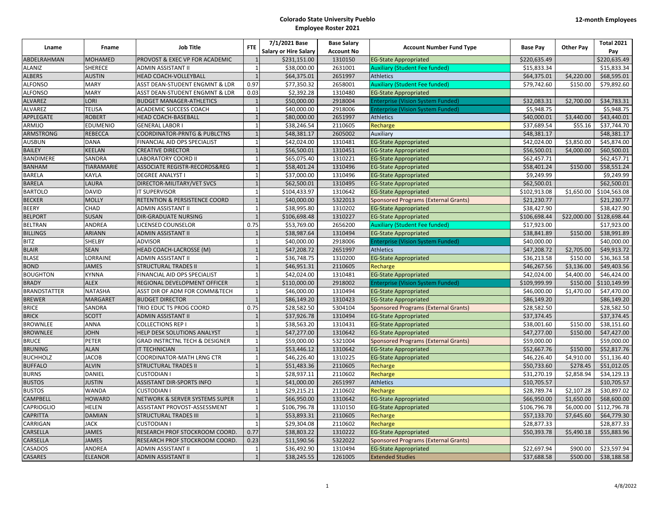| Lname               | Fname             | <b>Job Title</b>                          | <b>FTE</b>     | 7/1/2021 Base                | <b>Base Salary</b> | <b>Account Number Fund Type</b>             | <b>Base Pay</b> | <b>Other Pay</b> | <b>Total 2021</b> |
|---------------------|-------------------|-------------------------------------------|----------------|------------------------------|--------------------|---------------------------------------------|-----------------|------------------|-------------------|
|                     |                   |                                           |                | <b>Salary or Hire Salary</b> | <b>Account No</b>  |                                             |                 |                  | Pay               |
| ABDELRAHMAN         | <b>MOHAMED</b>    | PROVOST & EXEC VP FOR ACADEMIC            | $\overline{1}$ | \$231,151.00                 | 1310150            | <b>EG-State Appropriated</b>                | \$220,635.49    |                  | \$220,635.49      |
| <b>ALANIZ</b>       | <b>SHERECE</b>    | ADMIN ASSISTANT II                        | $\overline{1}$ | \$38,000.00                  | 2631001            | <b>Auxiliary (Student Fee funded)</b>       | \$15,833.34     |                  | \$15,833.34       |
| <b>ALBERS</b>       | <b>AUSTIN</b>     | <b>HEAD COACH-VOLLEYBALL</b>              | $\overline{1}$ | \$64,375.01                  | 2651997            | <b>Athletics</b>                            | \$64,375.01     | \$4,220.00       | \$68,595.01       |
| <b>ALFONSO</b>      | <b>MARY</b>       | ASST DEAN-STUDENT ENGMNT & LDR            | 0.97           | \$77,350.32                  | 2658001            | <b>Auxiliary (Student Fee funded)</b>       | \$79,742.60     | \$150.00         | \$79,892.60       |
| <b>ALFONSO</b>      | <b>MARY</b>       | ASST DEAN-STUDENT ENGMNT & LDR            | 0.03           | \$2,392.28                   | 1310480            | <b>EG-State Appropriated</b>                |                 |                  |                   |
| <b>ALVAREZ</b>      | <b>LORI</b>       | <b>BUDGET MANAGER-ATHLETICS</b>           | $\overline{1}$ | \$50,000.00                  | 2918004            | <b>Enterprise (Vision System Funded)</b>    | \$32,083.31     | \$2,700.00       | \$34,783.31       |
| ALVAREZ             | <b>TELISA</b>     | <b>ACADEMIC SUCCESS COACH</b>             | $\overline{1}$ | \$40,000.00                  | 2918006            | <b>Enterprise (Vision System Funded)</b>    | \$5,948.75      |                  | \$5,948.75        |
| APPLEGATE           | <b>ROBERT</b>     | HEAD COACH-BASEBALL                       | $\overline{1}$ | \$80,000.00                  | 2651997            | <b>Athletics</b>                            | \$40,000.01     | \$3,440.00       | \$43,440.01       |
| ARMIJO              | EDUMENIO          | <b>GENERAL LABOR I</b>                    |                | \$38,246.54                  | 2110605            | Recharge                                    | \$37,689.54     | \$55.16          | \$37,744.70       |
| <b>ARMSTRONG</b>    | REBECCA           | COORDINATOR-PRNTG & PUBLCTNS              |                | \$48,381.17                  | 2605002            | Auxiliary                                   | \$48,381.17     |                  | \$48,381.17       |
| <b>AUSBUN</b>       | <b>DANA</b>       | FINANCIAL AID OPS SPECIALIST              | $\overline{1}$ | \$42,024.00                  | 1310481            | <b>EG-State Appropriated</b>                | \$42,024.00     | \$3,850.00       | \$45,874.00       |
| <b>BAILEY</b>       | KEELAN            | <b>CREATIVE DIRECTOR</b>                  | $\overline{1}$ | \$56,500.01                  | 1310451            | <b>EG-State Appropriated</b>                | \$56,500.01     | \$4,000.00       | \$60,500.01       |
| <b>BANDIMERE</b>    | SANDRA            | <b>LABORATORY COORD II</b>                | $\overline{1}$ | \$65,075.40                  | 1310221            | <b>EG-State Appropriated</b>                | \$62,457.71     |                  | \$62,457.71       |
| <b>BANHAM</b>       | <b>TIARAMARIE</b> | ASSOCIATE REGISTR-RECORDS®                |                | \$58,401.24                  | 1310496            | <b>EG-State Appropriated</b>                | \$58,401.24     | \$150.00         | \$58,551.24       |
| <b>BARELA</b>       | KAYLA             | <b>DEGREE ANALYST I</b>                   | $\overline{1}$ | \$37,000.00                  | 1310496            | <b>EG-State Appropriated</b>                | \$9,249.99      |                  | \$9,249.99        |
| <b>BARELA</b>       | LAURA             | DIRECTOR-MILITARY/VET SVCS                | $\overline{1}$ | \$62,500.01                  | 1310495            | <b>EG-State Appropriated</b>                | \$62,500.01     |                  | \$62,500.01       |
| <b>BARTOLO</b>      | <b>DAVID</b>      | <b>IT SUPERVISOR</b>                      | $\overline{1}$ | \$104,433.97                 | 1310642            | <b>EG-State Appropriated</b>                | \$102,913.08    | \$1,650.00       | \$104,563.08      |
| <b>BECKER</b>       | <b>MOLLY</b>      | RETENTION & PERSISTENCE COORD             | $\overline{1}$ | \$40,000.00                  | 5322013            | <b>Sponsored Programs (External Grants)</b> | \$21,230.77     |                  | \$21,230.77       |
| <b>BEERY</b>        | CHAD              | ADMIN ASSISTANT II                        | $\overline{1}$ | \$38,995.80                  | 1310202            | <b>EG-State Appropriated</b>                | \$38,427.90     |                  | \$38,427.90       |
| <b>BELPORT</b>      | <b>SUSAN</b>      | <b>DIR-GRADUATE NURSING</b>               | $\overline{1}$ | \$106,698.48                 | 1310227            | <b>EG-State Appropriated</b>                | \$106,698.44    | \$22,000.00      | \$128,698.44      |
| <b>BELTRAN</b>      | ANDREA            | LICENSED COUNSELOR                        | 0.75           | \$53,769.00                  | 2656200            | <b>Auxiliary (Student Fee funded)</b>       | \$17,923.00     |                  | \$17,923.00       |
| <b>BILLINGS</b>     | <b>ARIANN</b>     | <b>ADMIN ASSISTANT II</b>                 | $\overline{1}$ | \$38,987.64                  | 1310494            | <b>EG-State Appropriated</b>                | \$38,841.89     | \$150.00         | \$38,991.89       |
| <b>BITZ</b>         | SHELBY            | <b>ADVISOR</b>                            | $\overline{1}$ | \$40,000.00                  | 2918006            | <b>Enterprise (Vision System Funded)</b>    | \$40,000.00     |                  | \$40,000.00       |
| <b>BLAIR</b>        | <b>SEAN</b>       | HEAD COACH-LACROSSE (M)                   |                | \$47,208.72                  | 2651997            | <b>Athletics</b>                            | \$47,208.72     | \$2,705.00       | \$49,913.72       |
| <b>BLASE</b>        | LORRAINE          | ADMIN ASSISTANT II                        |                | \$36,748.75                  | 1310200            | <b>EG-State Appropriated</b>                | \$36,213.58     | \$150.00         | \$36,363.58       |
| <b>BOND</b>         | <b>JAMES</b>      | <b>STRUCTURAL TRADES II</b>               |                | \$46,951.31                  | 2110605            | Recharge                                    | \$46,267.56     | \$3,136.00       | \$49,403.56       |
| <b>BOUGHTON</b>     | <b>KYNNA</b>      | FINANCIAL AID OPS SPECIALIST              | $\overline{1}$ | \$42,024.00                  | 1310481            | <b>EG-State Appropriated</b>                | \$42,024.00     | \$4,400.00       | \$46,424.00       |
| <b>BRADY</b>        | <b>ALEX</b>       | REGIONAL DEVELOPMENT OFFICER              |                | \$110,000.00                 | 2918002            | <b>Enterprise (Vision System Funded)</b>    | \$109,999.99    | \$150.00         | \$110,149.99      |
| <b>BRANDSTATTER</b> | <b>NATASHA</b>    | ASST DIR OF ADM FOR COMM&TECH             |                | \$46,000.00                  | 1310494            | <b>EG-State Appropriated</b>                | \$46,000.00     | \$1,470.00       | \$47,470.00       |
| <b>BREWER</b>       | <b>MARGARET</b>   | <b>BUDGET DIRECTOR</b>                    |                | \$86,149.20                  | 1310423            | <b>EG-State Appropriated</b>                | \$86,149.20     |                  | \$86,149.20       |
| <b>BRICE</b>        | SANDRA            | TRIO EDUC TS PROG COORD                   | 0.75           | \$28,582.50                  | 5304104            | <b>Sponsored Programs (External Grants)</b> | \$28,582.50     |                  | \$28,582.50       |
| <b>BRICK</b>        | <b>SCOTT</b>      | ADMIN ASSISTANT II                        |                | \$37,926.78                  | 1310494            | <b>EG-State Appropriated</b>                | \$37,374.45     |                  | \$37,374.45       |
| <b>BROWNLEE</b>     | ANNA              | <b>COLLECTIONS REP I</b>                  | $\overline{1}$ | \$38,563.20                  | 1310431            | <b>EG-State Appropriated</b>                | \$38,001.60     | \$150.00         | \$38,151.60       |
| <b>BROWNLEE</b>     | <b>JOHN</b>       | HELP DESK SOLUTIONS ANALYST               |                | \$47,277.00                  | 1310642            | <b>EG-State Appropriated</b>                | \$47,277.00     | \$150.00         | \$47,427.00       |
| <b>BRUCE</b>        | PETER             | <b>GRAD INSTRCTNL TECH &amp; DESIGNER</b> | $\overline{1}$ | \$59,000.00                  | 5321004            | <b>Sponsored Programs (External Grants)</b> | \$59,000.00     |                  | \$59,000.00       |
| <b>BRUNING</b>      | <b>ALAN</b>       | <b>IT TECHNICIAN</b>                      | $\overline{1}$ | \$53,446.12                  | 1310642            | <b>EG-State Appropriated</b>                | \$52,667.76     | \$150.00         | \$52,817.76       |
| <b>BUCHHOLZ</b>     | <b>JACOB</b>      | COORDINATOR-MATH LRNG CTR                 | $\overline{1}$ | \$46,226.40                  | 1310225            | <b>EG-State Appropriated</b>                | \$46,226.40     | \$4,910.00       | \$51,136.40       |
| <b>BUFFALO</b>      | <b>ALVIN</b>      | <b>STRUCTURAL TRADES II</b>               |                | \$51,483.36                  | 2110605            | Recharge                                    | \$50,733.60     | \$278.45         | \$51,012.05       |
| <b>BURNS</b>        | DANIEL            | <b>CUSTODIAN I</b>                        |                | \$28,937.11                  | 2110602            | Recharge                                    | \$31,270.19     | \$2,858.94       | \$34,129.13       |
| <b>BUSTOS</b>       | <b>JUSTIN</b>     | <b>ASSISTANT DIR-SPORTS INFO</b>          |                | \$41,000.00                  | 2651997            | <b>Athletics</b>                            | \$10,705.57     |                  | \$10,705.57       |
| <b>BUSTOS</b>       | <b>WANDA</b>      | <b>CUSTODIAN I</b>                        |                | \$29,215.21                  | 2110602            | Recharge                                    | \$28,789.74     | \$2,107.28       | \$30,897.02       |
| CAMPBELL            | <b>HOWARD</b>     | NETWORK & SERVER SYSTEMS SUPER            |                | \$66,950.00                  | 1310642            | <b>EG-State Appropriated</b>                | \$66,950.00     | \$1,650.00       | \$68,600.00       |
| <b>CAPRIOGLIO</b>   | <b>HELEN</b>      | ASSISTANT PROVOST-ASSESSMENT              | $\overline{1}$ | \$106,796.78                 | 1310150            | <b>EG-State Appropriated</b>                | \$106,796.78    | \$6,000.00       | \$112,796.78      |
| <b>CAPRITTA</b>     | <b>DAMIAN</b>     | STRUCTURAL TRADES III                     |                | \$53,893.31                  | 2110605            | Recharge                                    | \$57,133.70     | \$7,645.60       | \$64,779.30       |
| CARRIGAN            | <b>JACK</b>       | <b>CUSTODIAN I</b>                        | $\overline{1}$ | \$29,304.08                  | 2110602            | Recharge                                    | \$28,877.33     |                  | \$28,877.33       |
| CARSELLA            | <b>JAMES</b>      | RESEARCH PROF STOCKROOM COORD             | 0.77           | \$38,803.22                  | 1310222            | <b>EG-State Appropriated</b>                | \$50,393.78     | \$5,490.18       | \$55,883.96       |
| CARSELLA            | <b>JAMES</b>      | RESEARCH PROF STOCKROOM COORD.            | 0.23           | \$11,590.56                  | 5322022            | <b>Sponsored Programs (External Grants)</b> |                 |                  |                   |
| CASADOS             | <b>ANDREA</b>     | ADMIN ASSISTANT II                        | $\overline{1}$ | \$36,492.90                  | 1310494            | <b>EG-State Appropriated</b>                | \$22,697.94     | \$900.00         | \$23,597.94       |
| <b>CASARES</b>      | <b>ELEANOR</b>    | <b>ADMIN ASSISTANT II</b>                 | $\overline{1}$ | \$38,245.55                  | 1261005            | <b>Extended Studies</b>                     | \$37,688.58     | \$500.00         | \$38,188.58       |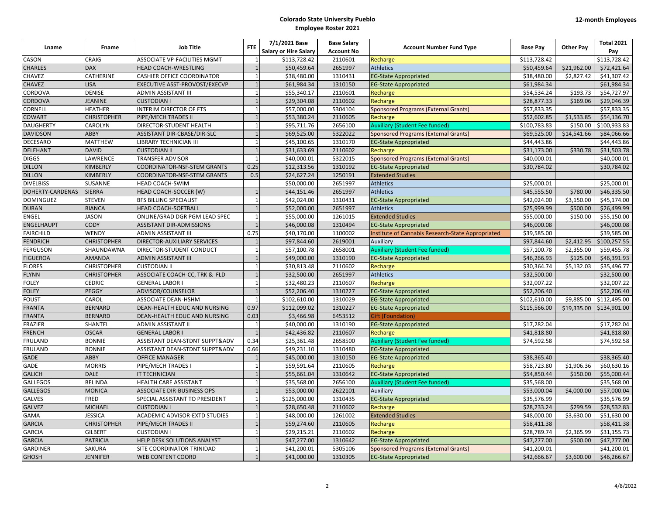| Lname            | Fname              | <b>Job Title</b>                   | <b>FTE</b>     | 7/1/2021 Base<br><b>Salary or Hire Salary</b> | <b>Base Salary</b>           | <b>Account Number Fund Type</b>                   | <b>Base Pay</b> | <b>Other Pay</b> | <b>Total 2021</b>   |
|------------------|--------------------|------------------------------------|----------------|-----------------------------------------------|------------------------------|---------------------------------------------------|-----------------|------------------|---------------------|
| CASON            | CRAIG              | ASSOCIATE VP-FACILITIES MGMT       | $\mathbf{1}$   | \$113,728.42                                  | <b>Account No</b><br>2110601 | Recharge                                          | \$113,728.42    |                  | Pay<br>\$113,728.42 |
| <b>CHARLES</b>   | <b>DAX</b>         | <b>HEAD COACH-WRESTLING</b>        | $\overline{1}$ | \$50,459.64                                   | 2651997                      | <b>Athletics</b>                                  | \$50,459.64     | \$21,962.00      | \$72,421.64         |
| CHAVEZ           | CATHERINE          | <b>CASHIER OFFICE COORDINATOR</b>  | $\overline{1}$ | \$38,480.00                                   | 1310431                      |                                                   | \$38,480.00     | \$2.827.42       | \$41,307.42         |
|                  |                    |                                    | $\overline{1}$ |                                               |                              | <b>EG-State Appropriated</b>                      |                 |                  |                     |
| CHAVEZ           | LISA               | EXECUTIVE ASST-PROVOST/EXECVP      |                | \$61,984.34                                   | 1310150                      | <b>EG-State Appropriated</b>                      | \$61,984.34     |                  | \$61,984.34         |
| CORDOVA          | DENISE             | ADMIN ASSISTANT III                | $\overline{1}$ | \$55,340.17                                   | 2110601                      | Recharge                                          | \$54,534.24     | \$193.73         | \$54,727.97         |
| CORDOVA          | <b>JEANINE</b>     | <b>CUSTODIAN I</b>                 | $\overline{1}$ | \$29,304.08                                   | 2110602                      | Recharge                                          | \$28,877.33     | \$169.06         | \$29,046.39         |
| CORNELL          | <b>HEATHER</b>     | <b>INTERIM DIRECTOR OF ETS</b>     | $\overline{1}$ | \$57,000.00                                   | 5304104                      | <b>Sponsored Programs (External Grants)</b>       | \$57,833.35     |                  | \$57,833.35         |
| <b>COWART</b>    | <b>CHRISTOPHER</b> | PIPE/MECH TRADES II                | $\overline{1}$ | \$53,380.24                                   | 2110605                      | Recharge                                          | \$52,602.85     | \$1,533.85       | \$54,136.70         |
| <b>DAUGHERTY</b> | CAROLYN            | DIRECTOR-STUDENT HEALTH            | $\mathbf{1}$   | \$95,711.76                                   | 2656100                      | <b>Auxiliary (Student Fee funded)</b>             | \$100,783.83    | \$150.00         | \$100,933.83        |
| <b>DAVIDSON</b>  | ABBY               | ASSISTANT DIR-CBASE/DIR-SLC        | $\overline{1}$ | \$69,525.00                                   | 5322022                      | <b>Sponsored Programs (External Grants)</b>       | \$69,525.00     | \$14,541.66      | \$84,066.66         |
| DECESARO         | MATTHEW            | LIBRARY TECHNICIAN III             |                | \$45,100.65                                   | 1310170                      | <b>EG-State Appropriated</b>                      | \$44,443.86     |                  | \$44,443.86         |
| <b>DELEHANT</b>  | <b>DAVID</b>       | <b>CUSTODIAN II</b>                | $\overline{1}$ | \$31,633.69                                   | 2110602                      | Recharge                                          | \$31,173.00     | \$330.78         | \$31,503.78         |
| <b>DIGGS</b>     | LAWRENCE           | <b>TRANSFER ADVISOR</b>            | $\overline{1}$ | \$40,000.01                                   | 5322015                      | <b>Sponsored Programs (External Grants)</b>       | \$40,000.01     |                  | \$40,000.01         |
| <b>DILLON</b>    | KIMBERLY           | COORDINATOR-NSF-STEM GRANTS        | 0.25           | \$12,313.56                                   | 1310192                      | <b>EG-State Appropriated</b>                      | \$30,784.02     |                  | \$30,784.02         |
| <b>DILLON</b>    | KIMBERLY           | <b>COORDINATOR-NSF-STEM GRANTS</b> | 0.5            | \$24,627.24                                   | 1250191                      | <b>Extended Studies</b>                           |                 |                  |                     |
| <b>DIVELBISS</b> | <b>SUSANNE</b>     | HEAD COACH-SWIM                    |                | \$50,000.00                                   | 2651997                      | <b>Athletics</b>                                  | \$25,000.01     |                  | \$25,000.01         |
| DOHERTY-CARDENAS | <b>SIERRA</b>      | HEAD COACH-SOCCER (W)              | $\overline{1}$ | \$44,151.46                                   | 2651997                      | <b>Athletics</b>                                  | \$45,555.50     | \$780.00         | \$46,335.50         |
| <b>DOMINGUEZ</b> | <b>STEVEN</b>      | <b>BFS BILLING SPECIALIST</b>      | $\overline{1}$ | \$42,024.00                                   | 1310431                      | <b>EG-State Appropriated</b>                      | \$42,024.00     | \$3,150.00       | \$45,174.00         |
| <b>DURAN</b>     | <b>BIANCA</b>      | <b>HEAD COACH-SOFTBALL</b>         | $\overline{1}$ | \$52,000.00                                   | 2651997                      | <b>Athletics</b>                                  | \$25,999.99     | \$500.00         | \$26,499.99         |
| <b>ENGEL</b>     | <b>JASON</b>       | ONLINE/GRAD DGR PGM LEAD SPEC      | $\overline{1}$ | \$55,000.00                                   | 1261015                      | <b>Extended Studies</b>                           | \$55,000.00     | \$150.00         | \$55,150.00         |
| ENGELHAUPT       | <b>CODY</b>        | <b>ASSISTANT DIR-ADMISSIONS</b>    | $\overline{1}$ | \$46,000.08                                   | 1310494                      | <b>EG-State Appropriated</b>                      | \$46,000.08     |                  | \$46,000.08         |
| <b>FAIRCHILD</b> | WENDY              | ADMIN ASSISTANT III                | 0.75           | \$40,170.00                                   | 1100002                      | Institute of Cannabis Research-State Appropriated | \$39,585.00     |                  | \$39,585.00         |
| <b>FENDRICH</b>  | <b>CHRISTOPHER</b> | DIRECTOR-AUXILIARY SERVICES        | $\overline{1}$ | \$97,844.60                                   | 2619001                      | Auxiliary                                         | \$97,844.60     | \$2,412.95       | \$100,257.55        |
| <b>FERGUSON</b>  | SHAUNDAWNA         | DIRECTOR-STUDENT CONDUCT           | $\mathbf{1}$   | \$57,100.78                                   | 2658001                      | <b>Auxiliary (Student Fee funded)</b>             | \$57,100.78     | \$2,355.00       | \$59,455.78         |
| <b>FIGUEROA</b>  | <b>AMANDA</b>      | <b>ADMIN ASSISTANT III</b>         | $\overline{1}$ | \$49,000.00                                   | 1310190                      | <b>EG-State Appropriated</b>                      | \$46,266.93     | \$125.00         | \$46,391.93         |
| <b>FLORES</b>    | <b>CHRISTOPHER</b> | <b>CUSTODIAN II</b>                | $\overline{1}$ | \$30,813.48                                   | 2110602                      | Recharge                                          | \$30,364.74     | \$5,132.03       | \$35,496.77         |
| <b>FLYNN</b>     | <b>CHRISTOPHER</b> | ASSOCIATE COACH-CC, TRK & FLD      | $\overline{1}$ | \$32,500.00                                   | 2651997                      | <b>Athletics</b>                                  | \$32,500.00     |                  | \$32,500.00         |
| <b>FOLEY</b>     | CEDRIC             | <b>GENERAL LABOR I</b>             |                | \$32,480.23                                   | 2110607                      | Recharge                                          | \$32,007.22     |                  | \$32,007.22         |
| <b>FOLEY</b>     | PEGGY              | ADVISOR/COUNSELOR                  | $\overline{1}$ | \$52,206.40                                   | 1310227                      | <b>EG-State Appropriated</b>                      | \$52,206.40     |                  | \$52,206.40         |
| <b>FOUST</b>     | CAROL              | <b>ASSOCIATE DEAN-HSHM</b>         | $\overline{1}$ | \$102,610.00                                  | 1310029                      | <b>EG-State Appropriated</b>                      | \$102,610.00    | \$9,885.00       | \$112,495.00        |
| <b>FRANTA</b>    | <b>BERNARD</b>     | DEAN-HEALTH EDUC AND NURSING       | 0.97           | \$112,099.02                                  | 1310227                      | <b>EG-State Appropriated</b>                      | \$115,566.00    | \$19,335.00      | \$134,901.00        |
| <b>FRANTA</b>    | <b>BERNARD</b>     | DEAN-HEALTH EDUC AND NURSING       | 0.03           | \$3,466.98                                    | 6453512                      | Gift (Foundation)                                 |                 |                  |                     |
| <b>FRAZIER</b>   | SHANTEL            | ADMIN ASSISTANT II                 | $\overline{1}$ | \$40,000.00                                   | 1310190                      | <b>EG-State Appropriated</b>                      | \$17,282.04     |                  | \$17,282.04         |
| <b>FRENCH</b>    | <b>OSCAR</b>       | <b>GENERAL LABOR I</b>             | $\overline{1}$ | \$42,436.82                                   | 2110607                      | Recharge                                          | \$41,818.80     |                  | \$41,818.80         |
| <b>FRULAND</b>   | <b>BONNIE</b>      | ASSISTANT DEAN-STDNT SUPPT&ADV     | 0.34           | \$25,361.48                                   | 2658500                      | <b>Auxiliary (Student Fee funded)</b>             | \$74,592.58     |                  | \$74,592.58         |
| <b>FRULAND</b>   | <b>BONNIE</b>      | ASSISTANT DEAN-STDNT SUPPT&ADV     | 0.66           |                                               | 1310480                      |                                                   |                 |                  |                     |
|                  | <b>ABBY</b>        |                                    | $\overline{1}$ | \$49,231.10                                   |                              | <b>EG-State Appropriated</b>                      |                 |                  |                     |
| GADE             |                    | <b>OFFICE MANAGER</b>              | $\overline{1}$ | \$45,000.00<br>\$59,591.64                    | 1310150                      | <b>EG-State Appropriated</b>                      | \$38,365.40     |                  | \$38,365.40         |
| GADE             | <b>MORRIS</b>      | PIPE/MECH TRADES I                 |                |                                               | 2110605                      | Recharge                                          | \$58,723.80     | \$1,906.36       | \$60,630.16         |
| <b>GALICH</b>    | <b>DALE</b>        | IT TECHNICIAN                      | $\mathbf{1}$   | \$55,661.04                                   | 1310642                      | <b>EG-State Appropriated</b>                      | \$54,850.44     | \$150.00         | \$55,000.44         |
| <b>GALLEGOS</b>  | <b>BELINDA</b>     | <b>HEALTH CARE ASSISTANT</b>       | $\mathbf{1}$   | \$35,568.00                                   | 2656100                      | <b>Auxiliary (Student Fee funded)</b>             | \$35,568.00     |                  | \$35,568.00         |
| <b>GALLEGOS</b>  | <b>MONICA</b>      | <b>ASSOCIATE DIR-BUSINESS OPS</b>  | $\overline{1}$ | \$53,000.00                                   | 2622101                      | Auxiliary                                         | \$53,000.04     | \$4,000.00       | \$57,000.04         |
| <b>GALVES</b>    | FRED               | SPECIAL ASSISTANT TO PRESIDENT     | $\overline{1}$ | \$125,000.00                                  | 1310435                      | <b>EG-State Appropriated</b>                      | \$35,576.99     |                  | \$35,576.99         |
| <b>GALVEZ</b>    | <b>MICHAEL</b>     | <b>CUSTODIAN I</b>                 |                | \$28,650.48                                   | 2110602                      | Recharge                                          | \$28,233.24     | \$299.59         | \$28,532.83         |
| <b>GAMA</b>      | <b>JESSICA</b>     | ACADEMIC ADVISOR-EXTD STUDIES      |                | \$48,000.00                                   | 1261002                      | <b>Extended Studies</b>                           | \$48,000.00     | \$3,630.00       | \$51,630.00         |
| <b>GARCIA</b>    | <b>CHRISTOPHER</b> | PIPE/MECH TRADES II                |                | \$59,274.60                                   | 2110605                      | Recharge                                          | \$58,411.38     |                  | \$58,411.38         |
| <b>GARCIA</b>    | GILBERT            | <b>CUSTODIAN I</b>                 | $\overline{1}$ | \$29,215.21                                   | 2110602                      | Recharge                                          | \$28,789.74     | \$2,365.99       | \$31,155.73         |
| <b>GARCIA</b>    | <b>PATRICIA</b>    | HELP DESK SOLUTIONS ANALYST        | $\overline{1}$ | \$47,277.00                                   | 1310642                      | <b>EG-State Appropriated</b>                      | \$47,277.00     | \$500.00         | \$47,777.00         |
| <b>GARDINER</b>  | <b>SAKURA</b>      | SITE COORDINATOR-TRINIDAD          | $\overline{1}$ | \$41,200.01                                   | 5305106                      | <b>Sponsored Programs (External Grants)</b>       | \$41,200.01     |                  | \$41,200.01         |
| <b>GHOSH</b>     | <b>JENNIFER</b>    | <b>WEB CONTENT COORD</b>           | $\mathbf{1}$   | \$41,000.00                                   | 1310305                      | <b>EG-State Appropriated</b>                      | \$42,666.67     | \$3,600.00       | \$46,266.67         |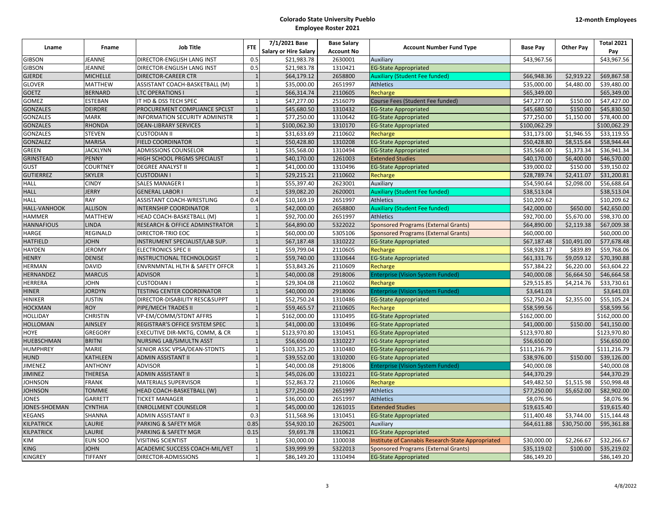|                   |                 |                                           | <b>FTE</b>     | 7/1/2021 Base                | <b>Base Salary</b> |                                                   |                 |                  | <b>Total 2021</b> |
|-------------------|-----------------|-------------------------------------------|----------------|------------------------------|--------------------|---------------------------------------------------|-----------------|------------------|-------------------|
| Lname             | Fname           | <b>Job Title</b>                          |                | <b>Salary or Hire Salary</b> | <b>Account No</b>  | <b>Account Number Fund Type</b>                   | <b>Base Pay</b> | <b>Other Pay</b> | Pay               |
| <b>GIBSON</b>     | <b>JEANNE</b>   | DIRECTOR-ENGLISH LANG INST                | 0.5            | \$21,983.78                  | 2630001            | Auxiliary                                         | \$43,967.56     |                  | \$43,967.56       |
| <b>GIBSON</b>     | <b>JEANNE</b>   | DIRECTOR-ENGLISH LANG INST                | 0.5            | \$21,983.78                  | 1310421            | <b>EG-State Appropriated</b>                      |                 |                  |                   |
| <b>GJERDE</b>     | <b>MICHELLE</b> | <b>DIRECTOR-CAREER CTR</b>                |                | \$64,179.12                  | 2658800            | <b>Auxiliary (Student Fee funded)</b>             | \$66,948.36     | \$2,919.22       | \$69,867.58       |
| <b>GLOVER</b>     | <b>MATTHEW</b>  | ASSISTANT COACH-BASKETBALL (M)            | $\overline{1}$ | \$35,000.00                  | 2651997            | <b>Athletics</b>                                  | \$35,000.00     | \$4,480.00       | \$39,480.00       |
| <b>GOETZ</b>      | <b>BERNARD</b>  | <b>LTC OPERATIONS I</b>                   |                | \$66,314.74                  | 2110605            | Recharge                                          | \$65,349.00     |                  | \$65,349.00       |
| GOMEZ             | <b>ESTEBAN</b>  | IT HD & DSS TECH SPEC                     | $\overline{1}$ | \$47,277.00                  | 2516079            | Course Fees (Student Fee funded)                  | \$47,277.00     | \$150.00         | \$47,427.00       |
| <b>GONZALES</b>   | <b>DEIRDRE</b>  | PROCUREMENT COMPLIANCE SPCLST             | $\overline{1}$ | \$45,680.50                  | 1310432            | <b>EG-State Appropriated</b>                      | \$45,680.50     | \$150.00         | \$45,830.50       |
| <b>GONZALES</b>   | <b>MARK</b>     | <b>INFORMATION SECURITY ADMINISTR</b>     | $\overline{1}$ | \$77,250.00                  | 1310642            | <b>EG-State Appropriated</b>                      | \$77,250.00     | \$1,150.00       | \$78,400.00       |
| <b>GONZALES</b>   | <b>RHONDA</b>   | <b>DEAN-LIBRARY SERVICES</b>              | $\overline{1}$ | \$100,062.30                 | 1310170            | <b>EG-State Appropriated</b>                      | \$100,062.29    |                  | \$100,062.29      |
| GONZALES          | <b>STEVEN</b>   | <b>CUSTODIAN II</b>                       | $\overline{1}$ | \$31,633.69                  | 2110602            | Recharge                                          | \$31,173.00     | \$1,946.55       | \$33,119.55       |
| GONZALEZ          | <b>MARISA</b>   | <b>FIELD COORDINATOR</b>                  | $\overline{1}$ | \$50,428.80                  | 1310208            | <b>EG-State Appropriated</b>                      | \$50,428.80     | \$8,515.64       | \$58,944.44       |
| GREEN             | <b>JACKLYNN</b> | <b>ADMISSIONS COUNSELOR</b>               | $\overline{1}$ | \$35,568.00                  | 1310494            | <b>EG-State Appropriated</b>                      | \$35,568.00     | \$1,373.34       | \$36,941.34       |
| GRINSTEAD         | <b>PENNY</b>    | HIGH SCHOOL PRGMS SPECIALIST              |                | \$40,170.00                  | 1261003            | <b>Extended Studies</b>                           | \$40,170.00     | \$6,400.00       | \$46,570.00       |
| GUST              | <b>COURTNEY</b> | <b>DEGREE ANALYST II</b>                  | $\overline{1}$ | \$41,000.00                  | 1310496            | <b>EG-State Appropriated</b>                      | \$39,000.02     | \$150.00         | \$39,150.02       |
| <b>GUTIERREZ</b>  | <b>SKYLER</b>   | <b>CUSTODIAN1</b>                         |                | \$29,215.21                  | 2110602            | Recharge                                          | \$28,789.74     | \$2,411.07       | \$31,200.81       |
| <b>HALL</b>       | <b>CINDY</b>    | SALES MANAGER I                           | $\overline{1}$ | \$55,397.40                  | 2623001            | Auxiliary                                         | \$54,590.64     | \$2,098.00       | \$56,688.64       |
| <b>HALL</b>       | <b>JERRY</b>    | <b>GENERAL LABOR I</b>                    | $\overline{1}$ | \$39,082.20                  | 2620001            | <b>Auxiliary (Student Fee funded)</b>             | \$38,513.04     |                  | \$38,513.04       |
| <b>HALL</b>       | RAY             | ASSISTANT COACH-WRESTLING                 | 0.4            | \$10,169.19                  | 2651997            | <b>Athletics</b>                                  | \$10,209.62     |                  | \$10,209.62       |
| HALL-VANHOOK      | <b>ALLISON</b>  | <b>INTERNSHIP COORDINATOR</b>             |                | \$42,000.00                  | 2658800            | <b>Auxiliary (Student Fee funded)</b>             | \$42,000.00     | \$650.00         | \$42,650.00       |
| <b>HAMMER</b>     | <b>MATTHEW</b>  | HEAD COACH-BASKETBALL (M)                 | $\overline{1}$ | \$92,700.00                  | 2651997            | <b>Athletics</b>                                  | \$92,700.00     | \$5,670.00       | \$98,370.00       |
| <b>HANNAFIOUS</b> | <b>LINDA</b>    | RESEARCH & OFFICE ADMINSTRATOR            | $\overline{1}$ | \$64,890.00                  | 5322022            | <b>Sponsored Programs (External Grants)</b>       | \$64,890.00     | \$2,119.38       | \$67,009.38       |
| HARGE             | <b>REGINALD</b> | DIRECTOR-TRIO EOC                         | $\overline{1}$ | \$60,000.00                  | 5305106            | <b>Sponsored Programs (External Grants)</b>       | \$60,000.00     |                  | \$60,000.00       |
| <b>HATFIELD</b>   | <b>JOHN</b>     | INSTRUMENT SPECIALIST/LAB SUP.            | $\overline{1}$ | \$67,187.48                  | 1310222            | <b>EG-State Appropriated</b>                      | \$67,187.48     | \$10,491.00      | \$77,678.48       |
| <b>HAYDEN</b>     | <b>JEROMY</b>   | <b>ELECTRONICS SPEC II</b>                | $\overline{1}$ | \$59,799.04                  | 2110605            | Recharge                                          | \$58,928.17     | \$839.89         | \$59,768.06       |
| <b>HENRY</b>      | <b>DENISE</b>   | INSTRUCTIONAL TECHNOLOGIST                | $\overline{1}$ | \$59,740.00                  | 1310644            | <b>EG-State Appropriated</b>                      | \$61,331.76     | \$9,059.12       | \$70,390.88       |
| <b>HERMAN</b>     | <b>DAVID</b>    | <b>ENVRNMNTAL HLTH &amp; SAFETY OFFCR</b> | $\overline{1}$ | \$53,843.26                  | 2110609            | Recharge                                          | \$57,384.22     | \$6,220.00       | \$63,604.22       |
| HERNANDEZ         | <b>MARCUS</b>   | <b>ADVISOR</b>                            | $\overline{1}$ | \$40,000.08                  | 2918006            | Enterprise (Vision System Funded)                 | \$40,000.08     | \$6,664.50       | \$46,664.58       |
| <b>HERRERA</b>    | <b>JOHN</b>     | <b>CUSTODIAN I</b>                        | $\overline{1}$ | \$29,304.08                  | 2110602            | Recharge                                          | \$29,515.85     | \$4,214.76       | \$33,730.61       |
| <b>HINER</b>      | <b>JORDYN</b>   | <b>TESTING CENTER COORDINATOR</b>         | $\overline{1}$ | \$40,000.00                  | 2918006            | <b>Enterprise (Vision System Funded)</b>          | \$3,641.03      |                  | \$3,641.03        |
| <b>HINIKER</b>    | <b>JUSTIN</b>   | DIRECTOR-DISABILITY RESC&SUPPT            | $\overline{1}$ | \$52,750.24                  | 1310486            | <b>EG-State Appropriated</b>                      | \$52,750.24     | \$2,355.00       | \$55,105.24       |
| <b>HOCKMAN</b>    | <b>ROY</b>      | PIPE/MECH TRADES II                       | $\overline{1}$ | \$59,465.57                  | 2110605            | Recharge                                          | \$58,599.56     |                  | \$58,599.56       |
| <b>HOLLIDAY</b>   | <b>CHRISTIN</b> | VP-EM/COMM/STDNT AFFRS                    | $\overline{1}$ | \$162,000.00                 | 1310495            | <b>EG-State Appropriated</b>                      | \$162,000.00    |                  | \$162,000.00      |
| <b>HOLLOMAN</b>   | <b>AINSLEY</b>  | REGISTRAR'S OFFICE SYSTEM SPEC            |                | \$41,000.00                  | 1310496            | <b>EG-State Appropriated</b>                      | \$41,000.00     | \$150.00         | \$41,150.00       |
| HOYE              | <b>GREGORY</b>  | EXECUTIVE DIR-MKTG, COMM, & CR            | $\overline{1}$ | \$123,970.80                 | 1310451            | <b>EG-State Appropriated</b>                      | \$123,970.80    |                  | \$123,970.80      |
| <b>HUEBSCHMAN</b> | <b>BRITNI</b>   | NURSING LAB/SIMULTN ASST                  |                | \$56,650.00                  | 1310227            | <b>EG-State Appropriated</b>                      | \$56,650.00     |                  | \$56,650.00       |
| <b>HUMPHREY</b>   | <b>MARIE</b>    | SENIOR ASSC VPSA/DEAN-STDNTS              | $\overline{1}$ | \$103,325.20                 | 1310480            | <b>EG-State Appropriated</b>                      | \$111,216.79    |                  | \$111,216.79      |
| <b>HUND</b>       | <b>KATHLEEN</b> | <b>ADMIN ASSISTANT II</b>                 | $\overline{1}$ | \$39,552.00                  | 1310200            | <b>EG-State Appropriated</b>                      | \$38,976.00     | \$150.00         | \$39,126.00       |
| JIMENEZ           | <b>ANTHONY</b>  | <b>ADVISOR</b>                            | $\overline{1}$ | \$40,000.08                  | 2918006            | <b>Enterprise (Vision System Funded)</b>          | \$40,000.08     |                  | \$40,000.08       |
| <b>JIMINEZ</b>    | <b>THERESA</b>  | ADMIN ASSISTANT II                        | $\overline{1}$ | \$45,026.00                  | 1310221            | <b>EG-State Appropriated</b>                      | \$44,370.29     |                  | \$44,370.29       |
| JOHNSON           | <b>FRANK</b>    | MATERIALS SUPERVISOR                      | $\overline{1}$ | \$52,863.72                  | 2110606            | Recharge                                          | \$49,482.50     | \$1,515.98       | \$50,998.48       |
| <b>JOHNSON</b>    | <b>TOMMIE</b>   | HEAD COACH-BASKETBALL (W)                 | $\overline{1}$ | \$77,250.00                  | 2651997            | <b>Athletics</b>                                  | \$77,250.00     | \$5,652.00       | \$82,902.00       |
| JONES             | <b>GARRETT</b>  | <b>TICKET MANAGER</b>                     | $\overline{1}$ | \$36,000.00                  | 2651997            | <b>Athletics</b>                                  | \$8,076.96      |                  | \$8,076.96        |
| JONES-SHOEMAN     | <b>CYNTHIA</b>  | <b>ENROLLMENT COUNSELOR</b>               |                | \$45,000.00                  | 1261015            | <b>Extended Studies</b>                           | \$19,615.40     |                  | \$19,615.40       |
| <b>KEGANS</b>     | <b>SHANNA</b>   | ADMIN ASSISTANT II                        | 0.3            | \$11,568.96                  | 1310451            | <b>EG-State Appropriated</b>                      | \$11,400.48     | \$3,744.00       | \$15,144.48       |
| <b>KILPATRICK</b> | <b>LAURIE</b>   | PARKING & SAFETY MGR                      | 0.85           | \$54,920.10                  | 2625001            | Auxiliary                                         | \$64,611.88     | \$30,750.00      | \$95,361.88       |
| <b>KILPATRICK</b> | <b>LAURIE</b>   | PARKING & SAFETY MGR                      | 0.15           | \$9,691.78                   | 1310621            | <b>EG-State Appropriated</b>                      |                 |                  |                   |
| KIM               | <b>EUN SOO</b>  | <b>VISITING SCIENTIST</b>                 | $\overline{1}$ | \$30,000.00                  | 1100038            | Institute of Cannabis Research-State Appropriated | \$30,000.00     | \$2,266.67       | \$32,266.67       |
| KING              | <b>JOHN</b>     | ACADEMIC SUCCESS COACH-MIL/VET            |                | \$39,999.99                  | 5322013            | <b>Sponsored Programs (External Grants)</b>       | \$35,119.02     | \$100.00         | \$35,219.02       |
| <b>KINGREY</b>    | <b>TIFFANY</b>  | DIRECTOR-ADMISSIONS                       | $\mathbf{1}$   | \$86,149.20                  | 1310494            | <b>EG-State Appropriated</b>                      | \$86,149.20     |                  | \$86,149.20       |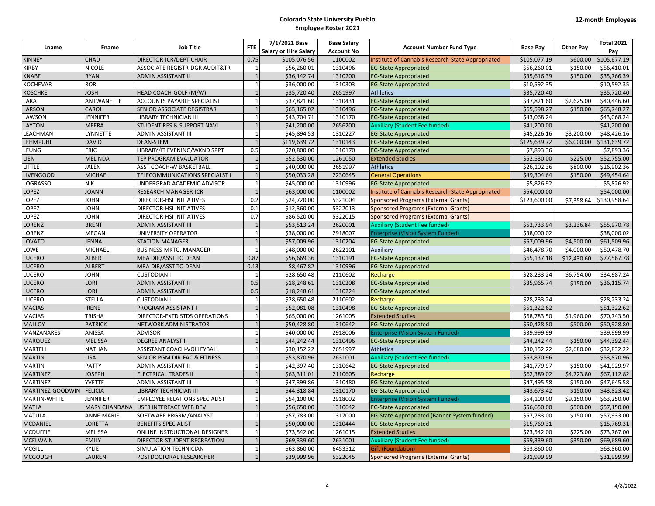|                  |                      | <b>Job Title</b>                     | <b>FTE</b>     | 7/1/2021 Base                | <b>Base Salary</b> |                                                     |                 |                  | <b>Total 2021</b> |
|------------------|----------------------|--------------------------------------|----------------|------------------------------|--------------------|-----------------------------------------------------|-----------------|------------------|-------------------|
| Lname            | <b>Fname</b>         |                                      |                | <b>Salary or Hire Salary</b> | <b>Account No</b>  | <b>Account Number Fund Type</b>                     | <b>Base Pay</b> | <b>Other Pay</b> | Pay               |
| <b>KINNEY</b>    | <b>CHAD</b>          | DIRECTOR-ICR/DEPT CHAIR              | 0.75           | \$105,076.56                 | 1100002            | Institute of Cannabis Research-State Appropriated   | \$105,077.19    | \$600.00         | \$105,677.19      |
| <b>KIRBY</b>     | <b>NICOLE</b>        | ASSOCIATE REGISTR-DGR AUDIT&TR       | $\overline{1}$ | \$56,260.01                  | 1310496            | <b>EG-State Appropriated</b>                        | \$56,260.01     | \$150.00         | \$56,410.01       |
| <b>KNABE</b>     | <b>RYAN</b>          | ADMIN ASSISTANT II                   | $\overline{1}$ | \$36,142.74                  | 1310200            | <b>EG-State Appropriated</b>                        | \$35,616.39     | \$150.00         | \$35,766.39       |
| <b>KOCHEVAR</b>  | RORI                 |                                      | $\overline{1}$ | \$36,000.00                  | 1310303            | <b>EG-State Appropriated</b>                        | \$10,592.35     |                  | \$10,592.35       |
| <b>KOSCHKE</b>   | <b>JOSH</b>          | HEAD COACH-GOLF (M/W)                | $\overline{1}$ | \$35,720.40                  | 2651997            | <b>Athletics</b>                                    | \$35,720.40     |                  | \$35,720.40       |
| LARA             | ANTWANETTE           | ACCOUNTS PAYABLE SPECIALIST          | $\overline{1}$ | \$37,821.60                  | 1310431            | <b>EG-State Appropriated</b>                        | \$37,821.60     | \$2,625.00       | \$40,446.60       |
| LARSON           | CAROL                | SENIOR ASSOCIATE REGISTRAR           | $\overline{1}$ | \$65,165.02                  | 1310496            | <b>EG-State Appropriated</b>                        | \$65,598.27     | \$150.00         | \$65,748.27       |
| LAWSON           | <b>JENNIFER</b>      | LIBRARY TECHNICIAN III               | $\overline{1}$ | \$43,704.71                  | 1310170            | <b>EG-State Appropriated</b>                        | \$43,068.24     |                  | \$43,068.24       |
| LAYTON           | <b>MEERA</b>         | STUDENT RES & SUPPORT NAVI           | $\mathbf{1}$   | \$41,200.00                  | 2656200            | <b>Auxiliary (Student Fee funded)</b>               | \$41,200.00     |                  | \$41,200.00       |
| LEACHMAN         | LYNNETTE             | ADMIN ASSISTANT III                  | $\overline{1}$ | \$45,894.53                  | 1310227            | <b>EG-State Appropriated</b>                        | \$45,226.16     | \$3,200.00       | \$48,426.16       |
| LEHMPUHL         | <b>DAVID</b>         | <b>DEAN-STEM</b>                     |                | \$119,639.72                 | 1310143            | <b>EG-State Appropriated</b>                        | \$125,639.72    | \$6,000.00       | \$131,639.72      |
| LEUNG            | ERIC                 | LIBRARY/IT EVENING/WKND SPPT         | 0.5            | \$20,800.00                  | 1310170            | <b>EG-State Appropriated</b>                        | \$7,893.36      |                  | \$7,893.36        |
| <b>LIEN</b>      | <b>MELINDA</b>       | TEP PROGRAM EVALUATOR                |                | \$52,530.00                  | 1261050            | <b>Extended Studies</b>                             | \$52,530.00     | \$225.00         | \$52,755.00       |
| LITTLE           | JALEN                | ASST COACH-W BASKETBALL              | $\overline{1}$ | \$40,000.00                  | 2651997            | <b>Athletics</b>                                    | \$26,102.36     | \$800.00         | \$26,902.36       |
| <b>LIVENGOOD</b> | <b>MICHAEL</b>       | TELECOMMUNICATIONS SPECIALST I       | $\overline{1}$ | \$50,033.28                  | 2230645            | <b>General Operations</b>                           | \$49,304.64     | \$150.00         | \$49,454.64       |
| <b>LOGRASSO</b>  | NIK                  | UNDERGRAD ACADEMIC ADVISOR           | $\overline{1}$ | \$45,000.00                  | 1310996            | <b>EG-State Appropriated</b>                        | \$5,826.92      |                  | \$5,826.92        |
| <b>LOPEZ</b>     | <b>JOANN</b>         | <b>RESEARCH MANAGER-ICR</b>          | $\overline{1}$ | \$63,000.00                  | 1100002            | Institute of Cannabis Research-State Appropriated   | \$54,000.00     |                  | \$54,000.00       |
| LOPEZ            | <b>JOHN</b>          | DIRECTOR-HSI INITIATIVES             | 0.2            | \$24,720.00                  | 5321004            | <b>Sponsored Programs (External Grants)</b>         | \$123,600.00    | \$7,358.64       | \$130,958.64      |
| LOPEZ            | <b>JOHN</b>          | DIRECTOR-HSI INITIATIVES             | 0.1            | \$12,360.00                  | 5322013            | <b>Sponsored Programs (External Grants)</b>         |                 |                  |                   |
| LOPEZ            | <b>JOHN</b>          | DIRECTOR-HSI INITIATIVES             | 0.7            | \$86,520.00                  | 5322015            | <b>Sponsored Programs (External Grants)</b>         |                 |                  |                   |
| LORENZ           | <b>BRENT</b>         | ADMIN ASSISTANT III                  | $\overline{1}$ | \$53,513.24                  | 2620001            | <b>Auxiliary (Student Fee funded)</b>               | \$52,733.94     | \$3,236.84       | \$55,970.78       |
| LORENZ           | <b>MEGAN</b>         | UNIVERSITY OPERATOR                  | $\overline{1}$ | \$38,000.00                  | 2918007            | <b>Enterprise (Vision System Funded)</b>            | \$38,000.02     |                  | \$38,000.02       |
| LOVATO           | <b>JENNA</b>         | <b>STATION MANAGER</b>               | $\overline{1}$ | \$57,009.96                  | 1310204            | <b>EG-State Appropriated</b>                        | \$57,009.96     | \$4,500.00       | \$61,509.96       |
| LOWE             | MICHAEL              | BUSINESS-MKTG. MANAGER               | $\mathbf{1}$   | \$48,000.00                  | 2622101            | Auxiliary                                           | \$46,478.70     | \$4,000.00       | \$50,478.70       |
| LUCERO           | <b>ALBERT</b>        | MBA DIR/ASST TO DEAN                 | 0.87           | \$56,669.36                  | 1310191            | <b>EG-State Appropriated</b>                        | \$65,137.18     | \$12,430.60      | \$77,567.78       |
| <b>LUCERO</b>    | <b>ALBERT</b>        | MBA DIR/ASST TO DEAN                 | 0.13           | \$8,467.82                   | 1310996            | <b>EG-State Appropriated</b>                        |                 |                  |                   |
| LUCERO           | <b>JOHN</b>          | <b>CUSTODIAN I</b>                   | $\mathbf{1}$   | \$28,650.48                  | 2110602            | Recharge                                            | \$28,233.24     | \$6,754.00       | \$34,987.24       |
| <b>LUCERO</b>    | LORI                 | ADMIN ASSISTANT II                   | 0.5            | \$18,248.61                  | 1310208            | <b>EG-State Appropriated</b>                        | \$35,965.74     | \$150.00         | \$36,115.74       |
| <b>LUCERO</b>    | LORI                 | <b>ADMIN ASSISTANT II</b>            | 0.5            | \$18,248.61                  | 1310224            | <b>EG-State Appropriated</b>                        |                 |                  |                   |
| LUCERO           | STELLA               | <b>CUSTODIAN I</b>                   | $\overline{1}$ | \$28,650.48                  | 2110602            | Recharge                                            | \$28,233.24     |                  | \$28,233.24       |
| <b>MACIAS</b>    | <b>IRENE</b>         | PROGRAM ASSISTANT I                  | $\overline{1}$ | \$52,081.08                  | 1310498            | <b>EG-State Appropriated</b>                        | \$51,322.62     |                  | \$51,322.62       |
| <b>MACIAS</b>    | <b>TRISHA</b>        | DIRECTOR-EXTD STDS OPERATIONS        | $\overline{1}$ | \$65,000.00                  | 1261005            | <b>Extended Studies</b>                             | \$68,783.50     | \$1,960.00       | \$70,743.50       |
| <b>MALLOY</b>    | <b>PATRICK</b>       | NETWORK ADMINISTRATOR                | $\overline{1}$ | \$50,428.80                  | 1310642            | <b>EG-State Appropriated</b>                        | \$50,428.80     | \$500.00         | \$50,928.80       |
| MANZANARES       | ANISSA               | <b>ADVISOR</b>                       | $\overline{1}$ | \$40,000.00                  | 2918006            | <b>Enterprise (Vision System Funded)</b>            | \$39,999.99     |                  | \$39,999.99       |
| <b>MARQUEZ</b>   | <b>MELISSA</b>       | <b>DEGREE ANALYST II</b>             | $\overline{1}$ | \$44,242.44                  | 1310496            | <b>EG-State Appropriated</b>                        | \$44,242.44     | \$150.00         | \$44,392.44       |
| MARTELL          | <b>NATHAN</b>        | ASSISTANT COACH-VOLLEYBALL           | $\overline{1}$ | \$30,152.22                  | 2651997            | <b>Athletics</b>                                    | \$30,152.22     | \$2,680.00       | \$32,832.22       |
| <b>MARTIN</b>    | LISA                 | SENIOR PGM DIR-FAC & FITNESS         | $\overline{1}$ | \$53,870.96                  | 2631001            | <b>Auxiliary (Student Fee funded)</b>               | \$53,870.96     |                  | \$53,870.96       |
| <b>MARTIN</b>    | <b>PATTY</b>         | ADMIN ASSISTANT II                   | $\mathbf{1}$   | \$42,397.40                  | 1310642            | <b>EG-State Appropriated</b>                        | \$41,779.97     | \$150.00         | \$41,929.97       |
| <b>MARTINEZ</b>  | <b>JOSEPH</b>        | <b>ELECTRICAL TRADES II</b>          | $\overline{1}$ | \$63,311.01                  | 2110605            | Recharge                                            | \$62,389.02     | \$4,723.80       | \$67,112.82       |
| <b>MARTINEZ</b>  | <b>YVETTE</b>        | ADMIN ASSISTANT III                  | $\overline{1}$ | \$47,399.86                  | 1310480            | <b>EG-State Appropriated</b>                        | \$47,495.58     | \$150.00         | \$47,645.58       |
| MARTINEZ-GOODWIN | <b>FELICIA</b>       | LIBRARY TECHNICIAN III               |                | \$44,318.84                  | 1310170            | <b>EG-State Appropriated</b>                        | \$43,673.42     | \$150.00         | \$43,823.42       |
| MARTIN-WHITE     | <b>JENNIFER</b>      | <b>EMPLOYEE RELATIONS SPECIALIST</b> | $\mathbf{1}$   | \$54,100.00                  | 2918002            | <b>Enterprise (Vision System Funded)</b>            | \$54,100.00     | \$9,150.00       | \$63,250.00       |
| <b>MATLA</b>     | <b>MARY CHANDANA</b> | <b>USER INTERFACE WEB DEV</b>        |                | \$56,650.00                  | 1310642            | <b>EG-State Appropriated</b>                        | \$56,650.00     | \$500.00         | \$57,150.00       |
| <b>MATULA</b>    | <b>ANNE-MARIE</b>    | SOFTWARE PRGRM/ANALYST               | $\overline{1}$ | \$57,783.00                  | 1317000            | <b>EG-State Appropriated (Banner System funded)</b> | \$57,783.00     | \$150.00         | \$57,933.00       |
| <b>MCDANIEL</b>  | LORETTA              | <b>BENEFITS SPECIALIST</b>           | $\overline{1}$ | \$50,000.00                  | 1310444            | <b>EG-State Appropriated</b>                        | \$15,769.31     |                  | \$15,769.31       |
| <b>MCDUFFIE</b>  | MELISSA              | ONLINE INSTRUCTIONAL DESIGNER        | $\overline{1}$ | \$73,542.00                  | 1261015            | <b>Extended Studies</b>                             | \$73,542.00     | \$225.00         | \$73,767.00       |
| <b>MCELWAIN</b>  | <b>EMILY</b>         | DIRECTOR-STUDENT RECREATION          | $\overline{1}$ | \$69,339.60                  | 2631001            | <b>Auxiliary (Student Fee funded)</b>               | \$69,339.60     | \$350.00         | \$69,689.60       |
| <b>MCGILL</b>    | KYLIE                | SIMULATION TECHNICIAN                | $\overline{1}$ | \$63,860.00                  | 6453512            | Gift (Foundation)                                   | \$63,860.00     |                  | \$63,860.00       |
| <b>MCGOUGH</b>   | <b>LAUREN</b>        | POSTDOCTORAL RESEARCHER              | $\mathbf{1}$   | \$39,999.96                  | 5322045            | <b>Sponsored Programs (External Grants)</b>         | \$31,999.99     |                  | \$31,999.99       |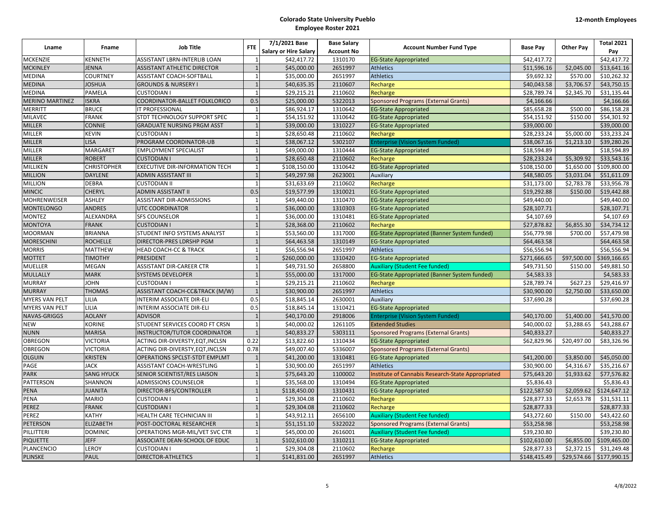|                        |                    | <b>Job Title</b>                      | <b>FTE</b>     | 7/1/2021 Base                | <b>Base Salary</b> | <b>Account Number Fund Type</b>                   | <b>Base Pay</b> | <b>Other Pay</b> | <b>Total 2021</b>        |
|------------------------|--------------------|---------------------------------------|----------------|------------------------------|--------------------|---------------------------------------------------|-----------------|------------------|--------------------------|
| Lname                  | Fname              |                                       |                | <b>Salary or Hire Salary</b> | <b>Account No</b>  |                                                   |                 |                  | Pay                      |
| <b>MCKENZIE</b>        | <b>KENNETH</b>     | ASSISTANT LBRN-INTERLIB LOAN          | $\overline{1}$ | \$42,417.72                  | 1310170            | <b>EG-State Appropriated</b>                      | \$42.417.72     |                  | \$42,417.72              |
| <b>MCKINLEY</b>        | <b>JENNA</b>       | <b>ASSISTANT ATHLETIC DIRECTOR</b>    |                | \$45,000.00                  | 2651997            | <b>Athletics</b>                                  | \$11,596.16     | \$2,045.00       | \$13,641.16              |
| <b>MEDINA</b>          | <b>COURTNEY</b>    | ASSISTANT COACH-SOFTBALL              | $\overline{1}$ | \$35,000.00                  | 2651997            | <b>Athletics</b>                                  | \$9,692.32      | \$570.00         | \$10,262.32              |
| <b>MEDINA</b>          | <b>JOSHUA</b>      | <b>GROUNDS &amp; NURSERY I</b>        | $\overline{1}$ | \$40,635.35                  | 2110607            | Recharge                                          | \$40,043.58     | \$3,706.57       | \$43,750.15              |
| <b>MEDINA</b>          | <b>PAMELA</b>      | <b>CUSTODIAN I</b>                    | $\overline{1}$ | \$29,215.21                  | 2110602            | Recharge                                          | \$28,789.74     | \$2,345.70       | \$31,135.44              |
| <b>MERINO MARTINEZ</b> | <b>ISKRA</b>       | COORDINATOR-BALLET FOLKLORICO         | 0.5            | \$25,000.00                  | 5322013            | <b>Sponsored Programs (External Grants)</b>       | \$4,166.66      |                  | \$4,166.66               |
| <b>MERRITT</b>         | <b>BRUCE</b>       | IT PROFESSIONAL                       | $\overline{1}$ | \$86,924.17                  | 1310642            | <b>EG-State Appropriated</b>                      | \$85,658.28     | \$500.00         | \$86,158.28              |
| <b>MILAVEC</b>         | <b>FRANK</b>       | STDT TECHNOLOGY SUPPORT SPEC          | $\overline{1}$ | \$54,151.92                  | 1310642            | <b>EG-State Appropriated</b>                      | \$54,151.92     | \$150.00         | \$54,301.92              |
| <b>MILLER</b>          | <b>CONNIE</b>      | <b>GRADUATE NURSING PRGM ASST</b>     | $\overline{1}$ | \$39,000.00                  | 1310227            | <b>EG-State Appropriated</b>                      | \$39,000.00     |                  | \$39,000.00              |
| <b>MILLER</b>          | <b>KEVIN</b>       | <b>CUSTODIAN I</b>                    | $\overline{1}$ | \$28,650.48                  | 2110602            | Recharge                                          | \$28,233.24     | \$5,000.00       | \$33,233.24              |
| <b>MILLER</b>          | <b>LISA</b>        | PROGRAM COORDINATOR-UB                |                | \$38,067.12                  | 5302107            | <b>Enterprise (Vision System Funded)</b>          | \$38,067.16     | \$1,213.10       | \$39,280.26              |
| MILLER                 | <b>MARGARET</b>    | <b>EMPLOYMENT SPECIALIST</b>          | $\overline{1}$ | \$49,000.00                  | 1310444            | <b>EG-State Appropriated</b>                      | \$18,594.89     |                  | \$18,594.89              |
| <b>MILLER</b>          | <b>ROBERT</b>      | <b>CUSTODIAN I</b>                    |                | \$28,650.48                  | 2110602            | Recharge                                          | \$28,233.24     | \$5,309.92       | \$33,543.16              |
| MILLIKEN               | <b>CHRISTOPHER</b> | <b>EXECUTIVE DIR-INFORMATION TECH</b> | $\overline{1}$ | \$108,150.00                 | 1310642            | <b>EG-State Appropriated</b>                      | \$108,150.00    | \$1,650.00       | \$109,800.00             |
| <b>MILLION</b>         | <b>DAYLENE</b>     | <b>ADMIN ASSISTANT III</b>            | $\overline{1}$ | \$49,297.98                  | 2623001            | Auxiliary                                         | \$48,580.05     | \$3,031.04       | \$51,611.09              |
| <b>MILLION</b>         | <b>DEBRA</b>       | <b>CUSTODIAN II</b>                   | $\overline{1}$ | \$31,633.69                  | 2110602            | Recharge                                          | \$31.173.00     | \$2,783.78       | \$33.956.78              |
| <b>MINCIC</b>          | <b>CHERYL</b>      | ADMIN ASSISTANT II                    | 0.5            | \$19,577.99                  | 1310021            | <b>EG-State Appropriated</b>                      | \$19,292.88     | \$150.00         | \$19,442.88              |
| <b>MOHRENWEISER</b>    | <b>ASHLEY</b>      | ASSISTANT DIR-ADMISSIONS              | $\overline{1}$ | \$49,440.00                  | 1310470            | <b>EG-State Appropriated</b>                      | \$49,440.00     |                  | \$49,440.00              |
| <b>MONTELONGO</b>      | <b>ANDRES</b>      | <b>UTC COORDINATOR</b>                |                | \$36,000.00                  | 1310303            | <b>EG-State Appropriated</b>                      | \$28,107.71     |                  | \$28,107.71              |
| <b>MONTEZ</b>          | ALEXANDRA          | <b>SFS COUNSELOR</b>                  | $\overline{1}$ | \$36,000.00                  | 1310481            | <b>EG-State Appropriated</b>                      | \$4,107.69      |                  | $\overline{54, 107.69}$  |
| <b>MONTOYA</b>         | <b>FRANK</b>       | <b>CUSTODIAN I</b>                    | $\overline{1}$ | \$28,368.00                  | 2110602            | Recharge                                          | \$27,878.82     | \$6,855.30       | \$34,734.12              |
| <b>MOORMAN</b>         | <b>BRIANNA</b>     | STUDENT INFO SYSTEMS ANALYST          | $\overline{1}$ | \$53,560.00                  | 1317000            | EG-State Appropriated (Banner System funded)      | \$56,779.98     | \$700.00         | \$57,479.98              |
| <b>MORESCHINI</b>      | <b>ROCHELLE</b>    | DIRECTOR-PRES LDRSHP PGM              | $\overline{1}$ | \$64,463.58                  | 1310149            | <b>EG-State Appropriated</b>                      | \$64,463.58     |                  | \$64,463.58              |
| <b>MORRIS</b>          | <b>MATTHEW</b>     | <b>HEAD COACH-CC &amp; TRACK</b>      | $\overline{1}$ | \$56,556.94                  | 2651997            | <b>Athletics</b>                                  | \$56,556.94     |                  | \$56,556.94              |
| <b>MOTTET</b>          | <b>TIMOTHY</b>     | <b>PRESIDENT</b>                      |                | \$260,000.00                 | 1310420            | <b>EG-State Appropriated</b>                      | \$271,666.65    | \$97,500.00      | \$369,166.65             |
| <b>MUELLER</b>         | <b>MEGAN</b>       | <b>ASSISTANT DIR-CAREER CTR</b>       |                | \$49,731.50                  | 2658800            | <b>Auxiliary (Student Fee funded)</b>             | \$49,731.50     | \$150.00         | \$49,881.50              |
| <b>MULLALLY</b>        | <b>MARK</b>        | <b>SYSTEMS DEVELOPER</b>              |                | \$55,000.00                  | 1317000            | EG-State Appropriated (Banner System funded)      | \$4,583.33      |                  | \$4,583.33               |
| <b>MURRAY</b>          | <b>JOHN</b>        | <b>CUSTODIAN I</b>                    | $\overline{1}$ | \$29,215.21                  | 2110602            | Recharge                                          | \$28,789.74     | \$627.23         | \$29,416.97              |
| <b>MURRAY</b>          | <b>THOMAS</b>      | ASSISTANT COACH-CC&TRACK (M/W)        | $\overline{1}$ | \$30,900.00                  | 2651997            | <b>Athletics</b>                                  | \$30,900.00     | \$2,750.00       | \$33,650.00              |
| <b>MYERS VAN PELT</b>  | LILIA              | <b>INTERIM ASSOCIATE DIR-ELI</b>      | 0.5            | \$18,845.14                  | 2630001            | Auxiliary                                         | \$37,690.28     |                  | \$37,690.28              |
| <b>MYERS VAN PELT</b>  | LILIA              | INTERIM ASSOCIATE DIR-ELI             | 0.5            | \$18,845.14                  | 1310421            | <b>EG-State Appropriated</b>                      |                 |                  |                          |
| NAVAS-GRIGGS           | <b>AOLANY</b>      | <b>ADVISOR</b>                        |                | \$40,170.00                  | 2918006            | <b>Enterprise (Vision System Funded)</b>          | \$40,170.00     | \$1,400.00       | \$41,570.00              |
| <b>NEW</b>             | <b>KORINE</b>      | STUDENT SERVICES COORD FT CRSN        | $\overline{1}$ | \$40,000.02                  | 1261105            | <b>Extended Studies</b>                           | \$40,000.02     | \$3,288.65       | \$43,288.67              |
| <b>NUNN</b>            | <b>MARISA</b>      | <b>INSTRUCTOR/TUTOR COORDINATOR</b>   |                | \$40,833.27                  | 5303111            | <b>Sponsored Programs (External Grants)</b>       | \$40,833.27     |                  | \$40,833.27              |
| <b>OBREGON</b>         | <b>VICTORIA</b>    | ACTING DIR-DIVERSTY, EQT, INCLSN      | 0.22           | \$13,822.60                  | 1310434            | <b>EG-State Appropriated</b>                      | \$62,829.96     | \$20,497.00      | \$83,326.96              |
| <b>OBREGON</b>         | <b>VICTORIA</b>    | ACTING DIR-DIVERSTY, EQT, INCLSN      | 0.78           | \$49,007.40                  | 5336007            | <b>Sponsored Programs (External Grants)</b>       |                 |                  |                          |
| <b>OLGUIN</b>          | <b>KRISTEN</b>     | OPERATIONS SPCLST-STDT EMPLMT         | $\overline{1}$ | \$41,200.00                  | 1310481            | <b>EG-State Appropriated</b>                      | \$41,200.00     | \$3,850.00       | \$45,050.00              |
| PAGE                   | <b>JACK</b>        | ASSISTANT COACH-WRESTLING             | $\overline{1}$ | \$30,900.00                  | 2651997            | <b>Athletics</b>                                  | \$30,900.00     | \$4,316.67       | \$35,216.67              |
| <b>PARK</b>            | <b>SANG HYUCK</b>  | SENIOR SCIENTIST/RES LIAISON          |                | \$75,643.20                  | 1100002            | Institute of Cannabis Research-State Appropriated | \$75,643.20     | \$1,933.62       | \$77,576.82              |
| PATTERSON              | <b>SHANNON</b>     | <b>ADMISSIONS COUNSELOR</b>           |                | \$35,568.00                  | 1310494            | <b>EG-State Appropriated</b>                      | \$5,836.43      |                  | \$5,836.43               |
| PENA                   | <b>JUANITA</b>     | DIRECTOR-BFS/CONTROLLER               |                | \$118,450.00                 | 1310431            | <b>EG-State Appropriated</b>                      | \$122,587.50    | \$2,059.62       | \$124,647.12             |
| <b>PENA</b>            | <b>MARIO</b>       | <b>CUSTODIAN I</b>                    | $\overline{1}$ | \$29,304.08                  | 2110602            | Recharge                                          | \$28,877.33     | \$2,653.78       | \$31,531.11              |
| PEREZ                  | <b>FRANK</b>       | <b>CUSTODIAN1</b>                     | $\overline{1}$ | \$29,304.08                  | 2110602            | Recharge                                          | \$28,877.33     |                  | \$28,877.33              |
| <b>PEREZ</b>           | <b>KATHY</b>       | HEALTH CARE TECHNICIAN III            | $\overline{1}$ | \$43,912.11                  | 2656100            | <b>Auxiliary (Student Fee funded)</b>             | \$43.272.60     | \$150.00         | \$43,422.60              |
| PETERSON               | <b>ELIZABETH</b>   | POST-DOCTORAL RESEARCHER              |                | \$51,151.10                  | 5322022            | <b>Sponsored Programs (External Grants)</b>       | \$53,258.98     |                  | \$53,258.98              |
| PILLITTERI             | <b>DOMINIC</b>     | OPERATIONS MGR-MIL/VET SVC CTR        | $\overline{1}$ | \$45,000.00                  | 2616001            | <b>Auxiliary (Student Fee funded)</b>             | \$39,230.80     |                  | \$39,230.80              |
| <b>PIQUETTE</b>        | <b>JEFF</b>        | ASSOCIATE DEAN-SCHOOL OF EDUC         | $\overline{1}$ | \$102,610.00                 | 1310211            | <b>EG-State Appropriated</b>                      | \$102,610.00    | \$6,855.00       | \$109,465.00             |
| PLANCENCIO             | <b>LEROY</b>       | <b>CUSTODIAN I</b>                    | $\overline{1}$ | \$29,304.08                  | 2110602            | Recharge                                          | \$28,877.33     | \$2,372.15       | \$31,249.48              |
| <b>PLINSKE</b>         | <b>PAUL</b>        | DIRECTOR-ATHLETICS                    | $\mathbf{1}$   | \$141,831.00                 | 2651997            | <b>Athletics</b>                                  | \$148,415.49    |                  | \$29,574.66 \$177,990.15 |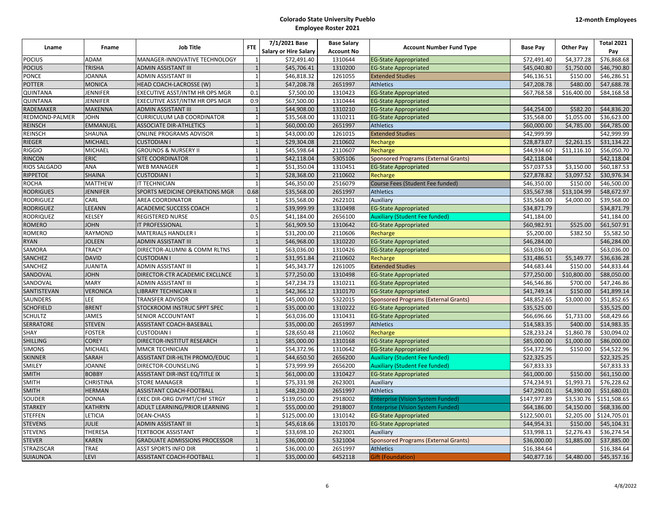| Lname             | Fname            | <b>Job Title</b>                     | <b>FTE</b>     | 7/1/2021 Base                | <b>Base Salary</b> | <b>Account Number Fund Type</b>             | <b>Base Pay</b> | <b>Other Pay</b> | <b>Total 2021</b> |
|-------------------|------------------|--------------------------------------|----------------|------------------------------|--------------------|---------------------------------------------|-----------------|------------------|-------------------|
|                   |                  |                                      |                | <b>Salary or Hire Salary</b> | <b>Account No</b>  |                                             |                 |                  | Pay               |
| <b>POCIUS</b>     | <b>ADAM</b>      | MANAGER-INNOVATIVE TECHNOLOGY        | $\mathbf{1}$   | \$72,491.40                  | 1310644            | <b>EG-State Appropriated</b>                | \$72,491.40     | \$4,377.28       | \$76,868.68       |
| <b>POCIUS</b>     | <b>TRISHA</b>    | <b>ADMIN ASSISTANT III</b>           | $\mathbf{1}$   | \$45,706.41                  | 1310200            | <b>EG-State Appropriated</b>                | \$45,040.80     | \$1,750.00       | \$46,790.80       |
| <b>PONCE</b>      | <b>JOANNA</b>    | ADMIN ASSISTANT III                  | $\overline{1}$ | \$46,818.32                  | 1261055            | <b>Extended Studies</b>                     | \$46,136.51     | \$150.00         | \$46,286.51       |
| <b>POTTER</b>     | <b>MONICA</b>    | HEAD COACH-LACROSSE (W)              | $\overline{1}$ | \$47,208.78                  | 2651997            | <b>Athletics</b>                            | \$47,208.78     | \$480.00         | \$47,688.78       |
| <b>QUINTANA</b>   | <b>JENNIFER</b>  | EXECUTIVE ASST/INTM HR OPS MGR       | 0.1            | \$7,500.00                   | 1310423            | <b>EG-State Appropriated</b>                | \$67,768.58     | \$16,400.00      | \$84,168.58       |
| <b>QUINTANA</b>   | <b>JENNIFER</b>  | EXECUTIVE ASST/INTM HR OPS MGR       | 0.9            | \$67,500.00                  | 1310444            | <b>EG-State Appropriated</b>                |                 |                  |                   |
| RADEMAKER         | <b>MAKENNA</b>   | <b>ADMIN ASSISTANT III</b>           | $\overline{1}$ | \$44,908.00                  | 1310210            | <b>EG-State Appropriated</b>                | \$44,254.00     | \$582.20         | \$44,836.20       |
| REDMOND-PALMER    | <b>JOHN</b>      | CURRICULUM LAB COORDINATOR           | $\overline{1}$ | \$35,568.00                  | 1310211            | <b>EG-State Appropriated</b>                | \$35,568.00     | \$1,055.00       | \$36,623.00       |
| <b>REINSCH</b>    | <b>EMMANUEL</b>  | <b>ASSOCIATE DIR-ATHLETICS</b>       | $\overline{1}$ | \$60,000.00                  | 2651997            | <b>Athletics</b>                            | \$60,000.00     | \$4,785.00       | \$64,785.00       |
| <b>REINSCH</b>    | <b>SHAUNA</b>    | ONLINE PROGRAMS ADVISOR              | $\mathbf{1}$   | \$43,000.00                  | 1261015            | <b>Extended Studies</b>                     | \$42,999.99     |                  | \$42,999.99       |
| RIEGER            | <b>MICHAEL</b>   | <b>CUSTODIAN I</b>                   | $\overline{1}$ | \$29,304.08                  | 2110602            | Recharge                                    | \$28,873.07     | \$2,261.15       | \$31,134.22       |
| <b>RIGGIO</b>     | <b>MICHAEL</b>   | <b>GROUNDS &amp; NURSERY II</b>      | $\overline{1}$ | \$45,598.64                  | 2110607            | Recharge                                    | \$44,934.60     | \$11,116.10      | \$56,050.70       |
| <b>RINCON</b>     | <b>ERIC</b>      | <b>SITE COORDINATOR</b>              | $\overline{1}$ | \$42,118.04                  | 5305106            | <b>Sponsored Programs (External Grants)</b> | \$42,118.04     |                  | \$42,118.04       |
| RIOS SALGADO      | <b>ANA</b>       | <b>WEB MANAGER</b>                   | $\overline{1}$ | \$51,350.04                  | 1310451            | <b>EG-State Appropriated</b>                | \$57,037.53     | \$3,150.00       | \$60,187.53       |
| RIPPETOE          | <b>SHAINA</b>    | <b>CUSTODIAN I</b>                   |                | \$28,368.00                  | 2110602            | Recharge                                    | \$27,878.82     | \$3,097.52       | \$30,976.34       |
| <b>ROCHA</b>      | <b>MATTHEW</b>   | IT TECHNICIAN                        |                | \$46,350.00                  | 2516079            | Course Fees (Student Fee funded)            | \$46,350.00     | \$150.00         | \$46,500.00       |
| <b>RODRIGUES</b>  | <b>JENNIFER</b>  | SPORTS MEDICINE OPERATIONS MGR       | 0.68           | \$35,568.00                  | 2651997            | <b>Athletics</b>                            | \$35,567.98     | \$13,104.99      | \$48,672.97       |
| <b>RODRIGUEZ</b>  | CARL             | AREA COORDINATOR                     | $\overline{1}$ | \$35,568.00                  | 2622101            | Auxiliary                                   | \$35,568.00     | \$4,000.00       | \$39,568.00       |
| <b>RODRIGUEZ</b>  | LEEANN           | ACADEMIC SUCCESS COACH               | $\overline{1}$ | \$39,999.99                  | 1310498            | <b>EG-State Appropriated</b>                | \$34,871.79     |                  | \$34,871.79       |
| <b>RODRIQUEZ</b>  | <b>KELSEY</b>    | <b>REGISTERED NURSE</b>              | 0.5            | \$41,184.00                  | 2656100            | <b>Auxiliary (Student Fee funded)</b>       | \$41,184.00     |                  | \$41,184.00       |
| <b>ROMERO</b>     | <b>JOHN</b>      | IT PROFESSIONAL                      | $\overline{1}$ | \$61,909.50                  | 1310642            | <b>EG-State Appropriated</b>                | \$60,982.91     | \$525.00         | \$61,507.91       |
| ROMERO            | <b>RAYMOND</b>   | MATERIALS HANDLER I                  | $\overline{1}$ | \$31,200.00                  | 2110606            | Recharge                                    | \$5,200.00      | \$382.50         | \$5,582.50        |
| <b>RYAN</b>       | <b>JOLEEN</b>    | ADMIN ASSISTANT III                  | $\mathbf{1}$   | \$46,968.00                  | 1310220            | <b>EG-State Appropriated</b>                | \$46,284.00     |                  | \$46,284.00       |
| SAMORA            | <b>TRACY</b>     | DIRECTOR-ALUMNI & COMM RLTNS         | $\mathbf{1}$   | \$63,036.00                  | 1310426            | <b>EG-State Appropriated</b>                | \$63,036.00     |                  | \$63,036.00       |
| <b>SANCHEZ</b>    | <b>DAVID</b>     | <b>CUSTODIAN I</b>                   | $\overline{1}$ | \$31,951.84                  | 2110602            | Recharge                                    | \$31,486.51     | \$5,149.77       | \$36,636.28       |
| SANCHEZ           | <b>JUANITA</b>   | ADMIN ASSISTANT III                  | $\mathbf{1}$   | \$45,343.77                  | 1261005            | <b>Extended Studies</b>                     | \$44,683.44     | \$150.00         | \$44,833.44       |
| SANDOVAL          | <b>JOHN</b>      | DIRECTOR-CTR ACADEMIC EXCLLNCE       | $1\,$          | \$77,250.00                  | 1310498            | <b>EG-State Appropriated</b>                | \$77,250.00     | \$10,800.00      | \$88,050.00       |
| SANDOVAL          | <b>MARY</b>      | ADMIN ASSISTANT III                  | $\overline{1}$ | \$47,234.73                  | 1310211            | <b>EG-State Appropriated</b>                | \$46,546.86     | \$700.00         | \$47,246.86       |
| SANTISTEVAN       | <b>VERONICA</b>  | LIBRARY TECHNICIAN II                | $\overline{1}$ | \$42,366.12                  | 1310170            | <b>EG-State Appropriated</b>                | \$41,749.14     | \$150.00         | \$41,899.14       |
| SAUNDERS          | LEE              | <b>TRANSFER ADVISOR</b>              |                | \$45,000.00                  | 5322015            | <b>Sponsored Programs (External Grants)</b> | \$48,852.65     | \$3,000.00       | \$51,852.65       |
| <b>SCHOFIELD</b>  | <b>BRENT</b>     | STOCKROOM INSTRUC SPPT SPEC          | $\overline{1}$ | \$35,000.00                  | 1310222            | <b>EG-State Appropriated</b>                | \$35,525.00     |                  | \$35,525.00       |
| <b>SCHULTZ</b>    | <b>JAMES</b>     | SENIOR ACCOUNTANT                    | $\overline{1}$ | \$63,036.00                  | 1310431            | <b>EG-State Appropriated</b>                | \$66,696.66     | \$1,733.00       | \$68,429.66       |
| <b>SERRATORE</b>  | <b>STEVEN</b>    | ASSISTANT COACH-BASEBALL             |                | \$35,000.00                  | 2651997            | <b>Athletics</b>                            | \$14,583.35     | \$400.00         | \$14,983.35       |
| SHAY              | <b>FOSTER</b>    | <b>CUSTODIAN I</b>                   | $\overline{1}$ | \$28,650.48                  | 2110602            | Recharge                                    | \$28,233.24     | \$1,860.78       | \$30,094.02       |
| <b>SHILLING</b>   | <b>COREY</b>     | DIRECTOR-INSTITUT RESEARCH           | $\overline{1}$ | \$85,000.00                  | 1310168            | <b>EG-State Appropriated</b>                | \$85,000.00     | \$1,000.00       | \$86,000.00       |
| <b>SIMONS</b>     | MICHAEL          | MMCR TECHNICIAN                      | $\overline{1}$ | \$54,372.96                  | 1310642            | <b>EG-State Appropriated</b>                | \$54,372.96     | \$150.00         | \$54,522.96       |
| <b>SKINNER</b>    | <b>SARAH</b>     | ASSISTANT DIR-HLTH PROMO/EDUC        | $\overline{1}$ | \$44,650.50                  | 2656200            | <b>Auxiliary (Student Fee funded)</b>       | \$22,325.25     |                  | \$22,325.25       |
| SMILEY            | <b>JOANNE</b>    | DIRECTOR-COUNSELING                  | $\overline{1}$ | \$73,999.99                  | 2656200            | <b>Auxiliary (Student Fee funded)</b>       | \$67,833.33     |                  | \$67,833.33       |
| <b>SMITH</b>      | <b>BOBBY</b>     | ASSISTANT DIR-INST EQ/TITLE IX       | $\mathbf{1}$   | \$61,000.00                  | 1310427            | <b>EG-State Appropriated</b>                | \$61,000.00     | \$150.00         | \$61,150.00       |
| <b>SMITH</b>      | <b>CHRISTINA</b> | <b>STORE MANAGER</b>                 | $\mathbf{1}$   | \$75,331.98                  | 2623001            | Auxiliary                                   | \$74,234.91     | \$1,993.71       | \$76,228.62       |
| <b>SMITH</b>      | <b>HERMAN</b>    | ASSISTANT COACH-FOOTBALL             | $\mathbf{1}$   | \$48,230.00                  | 2651997            | <b>Athletics</b>                            | \$47,290.01     | \$4,390.00       | \$51,680.01       |
| SOUDER            | <b>DONNA</b>     | EXEC DIR-ORG DVPMT/CHF STRGY         | $\overline{1}$ | \$139,050.00                 | 2918002            | <b>Enterprise (Vision System Funded)</b>    | \$147,977.89    | \$3,530.76       | \$151,508.65      |
| <b>STARKEY</b>    | <b>KATHRYN</b>   | ADULT LEARNING/PRIOR LEARNING        | $\overline{1}$ | \$55,000.00                  | 2918007            | <b>Enterprise (Vision System Funded)</b>    | \$64,186.00     | \$4,150.00       | \$68,336.00       |
| <b>STEFFEN</b>    | LETICIA          | <b>DEAN-CHASS</b>                    | $\overline{1}$ | \$125,000.00                 | 1310142            | <b>EG-State Appropriated</b>                | \$122,500.01    | \$2,205.00       | \$124,705.01      |
| <b>STEVENS</b>    | <b>JULIE</b>     | <b>ADMIN ASSISTANT III</b>           | $\overline{1}$ | \$45,618.66                  | 1310170            | <b>EG-State Appropriated</b>                | \$44,954.31     | \$150.00         | \$45,104.31       |
| <b>STEVENS</b>    | <b>THERESA</b>   | <b>TEXTBOOK ASSISTANT</b>            | $\overline{1}$ | \$33,698.10                  | 2623001            | Auxiliary                                   | \$33,998.11     | \$2,276.43       | \$36,274.54       |
| <b>STEVER</b>     | <b>KAREN</b>     | <b>GRADUATE ADMISSIONS PROCESSOR</b> | $\overline{1}$ | \$36,000.00                  | 5321004            | <b>Sponsored Programs (External Grants)</b> | \$36,000.00     | \$1,885.00       | \$37,885.00       |
| <b>STRAZISCAR</b> | <b>TRAE</b>      | <b>ASST SPORTS INFO DIR</b>          | $\overline{1}$ | \$36,000.00                  | 2651997            | <b>Athletics</b>                            | \$16,384.64     |                  | \$16,384.64       |
| <b>SUIAUNOA</b>   | <b>LEVI</b>      | <b>ASSISTANT COACH-FOOTBALL</b>      | $\mathbf{1}$   | \$35,000.00                  | 6452118            | Gift (Foundation)                           | \$40,877.16     | \$4,480.00       | \$45,357.16       |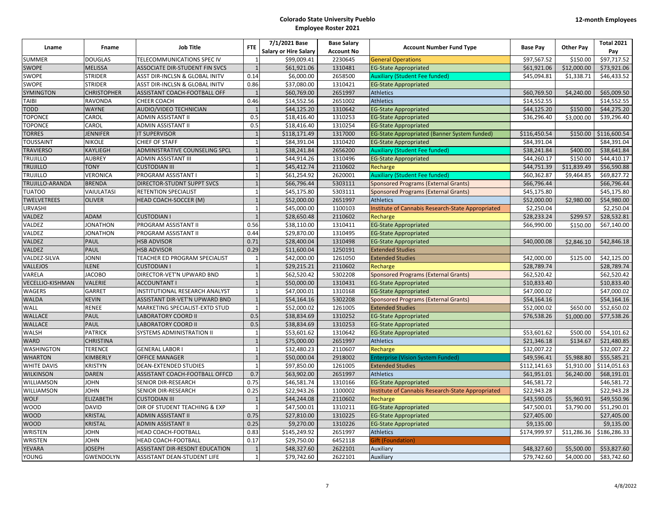|                         |                    |                                   |                | 7/1/2021 Base                | <b>Base Salary</b> |                                                   |                 |                  | <b>Total 2021</b> |
|-------------------------|--------------------|-----------------------------------|----------------|------------------------------|--------------------|---------------------------------------------------|-----------------|------------------|-------------------|
| Lname                   | <b>Fname</b>       | <b>Job Title</b>                  | <b>FTE</b>     | <b>Salary or Hire Salary</b> | <b>Account No</b>  | <b>Account Number Fund Type</b>                   | <b>Base Pay</b> | <b>Other Pay</b> | Pay               |
| <b>SUMMER</b>           | <b>DOUGLAS</b>     | <b>TELECOMMUNICATIONS SPEC IV</b> | $\overline{1}$ | \$99,009.41                  | 2230645            | <b>General Operations</b>                         | \$97,567.52     | \$150.00         | \$97.717.52       |
| <b>SWOPE</b>            | <b>MELISSA</b>     | ASSOCIATE DIR-STUDENT FIN SVCS    | $\overline{1}$ | \$61,921.06                  | 1310481            | <b>EG-State Appropriated</b>                      | \$61,921.06     | \$12,000.00      | \$73,921.06       |
| SWOPE                   | <b>STRIDER</b>     | ASST DIR-INCLSN & GLOBAL INITV    | 0.14           | \$6,000.00                   | 2658500            | <b>Auxiliary (Student Fee funded)</b>             | \$45,094.81     | \$1,338.71       | \$46,433.52       |
| SWOPE                   | <b>STRIDER</b>     | ASST DIR-INCLSN & GLOBAL INITV    | 0.86           | \$37,080.00                  | 1310421            | <b>EG-State Appropriated</b>                      |                 |                  |                   |
| <b>SYMINGTON</b>        | <b>CHRISTOPHER</b> | ASSISTANT COACH-FOOTBALL OFF      |                | \$60,769.00                  | 2651997            | <b>Athletics</b>                                  | \$60,769.50     | \$4,240.00       | \$65,009.50       |
| <b>TAIBI</b>            | <b>RAVONDA</b>     | CHEER COACH                       | 0.46           | \$14,552.56                  | 2651002            | <b>Athletics</b>                                  | \$14,552.55     |                  | \$14,552.55       |
| <b>TODD</b>             | <b>WAYNE</b>       | AUDIO/VIDEO TECHNICIAN            | $\overline{1}$ | \$44,125.20                  | 1310642            | <b>EG-State Appropriated</b>                      | \$44,125.20     | \$150.00         | \$44,275.20       |
| <b>TOPONCE</b>          | CAROL              | ADMIN ASSISTANT II                | 0.5            | \$18,416.40                  | 1310253            | <b>EG-State Appropriated</b>                      | \$36,296.40     | \$3,000.00       | \$39,296.40       |
| <b>TOPONCE</b>          | CAROL              | ADMIN ASSISTANT II                | 0.5            | \$18,416.40                  | 1310254            | <b>EG-State Appropriated</b>                      |                 |                  |                   |
| <b>TORRES</b>           | <b>JENNIFER</b>    | <b>IT SUPERVISOR</b>              | $\mathbf{1}$   | \$118,171.49                 | 1317000            | EG-State Appropriated (Banner System funded)      | \$116,450.54    | \$150.00         | \$116,600.54      |
| <b>TOUSSAINT</b>        | <b>NIKOLE</b>      | <b>CHIEF OF STAFF</b>             | $\overline{1}$ | \$84,391.04                  | 1310420            | <b>EG-State Appropriated</b>                      | \$84,391.04     |                  | \$84,391.04       |
| <b>TRAVIERSO</b>        | <b>KAYLIEGH</b>    | ADMINISTRATIVE COUNSELING SPCL    |                | \$38,241.84                  | 2656200            | <b>Auxiliary (Student Fee funded)</b>             | \$38,241.84     | \$400.00         | \$38,641.84       |
| <b>TRUJILLO</b>         | <b>AUBREY</b>      | ADMIN ASSISTANT III               |                | \$44,914.26                  | 1310496            | <b>EG-State Appropriated</b>                      | \$44,260.17     | \$150.00         | \$44,410.17       |
| <b>TRUJILLO</b>         | <b>TONY</b>        | <b>CUSTODIAN III</b>              |                | \$45,412.74                  | 2110602            | Recharge                                          | \$44,751.39     | \$11,839.49      | \$56,590.88       |
| <b>TRUJILLO</b>         | <b>VERONICA</b>    | <b>PROGRAM ASSISTANT I</b>        | $\overline{1}$ | \$61,254.92                  | 2620001            | <b>Auxiliary (Student Fee funded)</b>             | \$60,362.87     | \$9,464.85       | \$69,827.72       |
| TRUJILLO-ARANDA         | <b>BRENDA</b>      | DIRECTOR-STUDNT SUPPT SVCS        |                | \$66,796.44                  | 5303111            | <b>Sponsored Programs (External Grants)</b>       | \$66,796.44     |                  | \$66,796.44       |
| <b>TUATOO</b>           | VAIULATASI         | RETENTION SPECIALIST              | $\overline{1}$ | \$45,175.80                  | 5303111            | <b>Sponsored Programs (External Grants)</b>       | \$45,175.80     |                  | \$45,175.80       |
| <b>TWELVETREES</b>      | <b>OLIVER</b>      | HEAD COACH-SOCCER (M)             |                | \$52,000.00                  | 2651997            | <b>Athletics</b>                                  | \$52,000.00     | \$2,980.00       | \$54,980.00       |
| <b>URVASHI</b>          |                    |                                   | $\overline{1}$ | \$45,000.00                  | 1100103            | Institute of Cannabis Research-State Appropriated | \$2,250.04      |                  | \$2,250.04        |
| VALDEZ                  | <b>ADAM</b>        | <b>CUSTODIAN I</b>                |                | \$28,650.48                  | 2110602            | Recharge                                          | \$28,233.24     | \$299.57         | \$28,532.81       |
| VALDEZ                  | <b>JONATHON</b>    | PROGRAM ASSISTANT II              | 0.56           | \$38,110.00                  | 1310411            | <b>EG-State Appropriated</b>                      | \$66,990.00     | \$150.00         | \$67,140.00       |
| VALDEZ                  | <b>JONATHON</b>    | PROGRAM ASSISTANT II              | 0.44           | \$29,870.00                  | 1310495            | <b>EG-State Appropriated</b>                      |                 |                  |                   |
| VALDEZ                  | <b>PAUL</b>        | <b>HSB ADVISOR</b>                | 0.71           | \$28,400.04                  | 1310498            | <b>EG-State Appropriated</b>                      | \$40,000.08     | \$2,846.10       | \$42,846.18       |
| <b>VALDEZ</b>           | <b>PAUL</b>        | <b>HSB ADVISOR</b>                | 0.29           | \$11,600.04                  | 1250191            | <b>Extended Studies</b>                           |                 |                  |                   |
| VALDEZ-SILVA            | <b>JONNI</b>       | TEACHER ED PROGRAM SPECIALIST     | $\mathbf{1}$   | \$42,000.00                  | 1261050            | <b>Extended Studies</b>                           | \$42,000.00     | \$125.00         | \$42,125.00       |
| <b>VALLEJOS</b>         | <b>ILENE</b>       | <b>CUSTODIAN1</b>                 |                | \$29,215.21                  | 2110602            | Recharge                                          | \$28,789.74     |                  | \$28,789.74       |
| VARELA                  | <b>JACOBO</b>      | DIRECTOR-VET'N UPWARD BND         |                | \$62,520.42                  | 5302208            | <b>Sponsored Programs (External Grants)</b>       | \$62,520.42     |                  | \$62,520.42       |
| <b>VECELLIO-KISHMAN</b> | VALERIE            | <b>ACCOUNTANT I</b>               |                | \$50,000.00                  | 1310431            | <b>EG-State Appropriated</b>                      | \$10,833.40     |                  | \$10,833.40       |
| <b>WAGERS</b>           | <b>GARRET</b>      | INSTITUTIONAL RESEARCH ANALYST    | $\overline{1}$ | \$47,000.01                  | 1310168            | <b>EG-State Appropriated</b>                      | \$47,000.02     |                  | \$47,000.02       |
| <b>WALDA</b>            | <b>KEVIN</b>       | ASSISTANT DIR-VET'N UPWARD BND    |                | \$54,164.16                  | 5302208            | <b>Sponsored Programs (External Grants)</b>       | \$54,164.16     |                  | \$54,164.16       |
| <b>WALL</b>             | <b>RENEE</b>       | MARKETING SPECIALIST-EXTD STUD    | $\overline{1}$ | \$52,000.02                  | 1261005            | <b>Extended Studies</b>                           | \$52,000.02     | \$650.00         | \$52,650.02       |
| <b>WALLACE</b>          | <b>PAUL</b>        | <b>LABORATORY COORD II</b>        | 0.5            | \$38,834.69                  | 1310252            | <b>EG-State Appropriated</b>                      | \$76,538.26     | \$1,000.00       | \$77,538.26       |
| <b>WALLACE</b>          | <b>PAUL</b>        | <b>LABORATORY COORD II</b>        | 0.5            | \$38,834.69                  | 1310253            | <b>EG-State Appropriated</b>                      |                 |                  |                   |
| <b>WALSH</b>            | <b>PATRICK</b>     | SYSTEMS ADMINISTRATION II         | $\overline{1}$ | \$53,601.62                  | 1310642            | <b>EG-State Appropriated</b>                      | \$53,601.62     | \$500.00         | \$54,101.62       |
| <b>WARD</b>             | <b>CHRISTINA</b>   |                                   | $\overline{1}$ | \$75,000.00                  | 2651997            | <b>Athletics</b>                                  | \$21,346.18     | \$134.67         | \$21,480.85       |
| WASHINGTON              | <b>TERENCE</b>     | <b>GENERAL LABOR I</b>            | $\overline{1}$ | \$32,480.23                  | 2110607            | Recharge                                          | \$32,007.22     |                  | \$32,007.22       |
| <b>WHARTON</b>          | <b>KIMBERLY</b>    | <b>OFFICE MANAGER</b>             | $\overline{1}$ | \$50,000.04                  | 2918002            | <b>Enterprise (Vision System Funded)</b>          | \$49,596.41     | \$5,988.80       | \$55,585.21       |
| <b>WHITE DAVIS</b>      | <b>KRISTYN</b>     | <b>DEAN-EXTENDED STUDIES</b>      | $\overline{1}$ | \$97,850.00                  | 1261005            | <b>Extended Studies</b>                           | \$112,141.63    | \$1,910.00       | \$114,051.63      |
| <b>WILKINSON</b>        | <b>DAREN</b>       | ASSISTANT COACH-FOOTBALL OFFCD    | 0.7            | \$63,902.00                  | 2651997            | <b>Athletics</b>                                  | \$61,951.01     | \$6,240.00       | \$68,191.01       |
| WILLIAMSON              | <b>JOHN</b>        | SENIOR DIR-RESEARCH               | 0.75           | \$46,581.74                  | 1310166            | <b>EG-State Appropriated</b>                      | \$46,581.72     |                  | \$46,581.72       |
| WILLIAMSON              | <b>JOHN</b>        | SENIOR DIR-RESEARCH               | 0.25           | \$22,943.26                  | 1100002            | Institute of Cannabis Research-State Appropriated | \$22,943.28     |                  | \$22,943.28       |
| <b>WOLF</b>             | <b>ELIZABETH</b>   | <b>CUSTODIAN III</b>              |                | \$44,244.08                  | 2110602            | Recharge                                          | \$43,590.05     | \$5,960.91       | \$49,550.96       |
| <b>WOOD</b>             | <b>DAVID</b>       | DIR OF STUDENT TEACHING & EXP     | $\overline{1}$ | \$47,500.01                  | 1310211            | <b>EG-State Appropriated</b>                      | \$47,500.01     | \$3,790.00       | \$51,290.01       |
| <b>WOOD</b>             | <b>KRISTAL</b>     | <b>ADMIN ASSISTANT II</b>         | 0.75           | \$27,810.00                  | 1310225            | <b>EG-State Appropriated</b>                      | \$27,405.00     |                  | \$27,405.00       |
| <b>WOOD</b>             | <b>KRISTAL</b>     | <b>ADMIN ASSISTANT II</b>         | 0.25           | \$9,270.00                   | 1310226            | <b>EG-State Appropriated</b>                      | \$9,135.00      |                  | \$9,135.00        |
| WRISTEN                 | <b>JOHN</b>        | HEAD COACH-FOOTBALL               | 0.83           | \$145,249.92                 | 2651997            | <b>Athletics</b>                                  | \$174,999.97    | \$11,286.36      | \$186,286.33      |
| <b>WRISTEN</b>          | <b>JOHN</b>        | HEAD COACH-FOOTBALL               | 0.17           | \$29,750.00                  | 6452118            | <b>Gift (Foundation)</b>                          |                 |                  |                   |
| YEVARA                  | <b>JOSEPH</b>      | ASSISTANT DIR-RESDNT EDUCATION    |                | \$48,327.60                  | 2622101            | Auxiliary                                         | \$48,327.60     | \$5,500.00       | \$53,827.60       |
| <b>YOUNG</b>            | <b>GWENDOLYN</b>   | ASSISTANT DEAN-STUDENT LIFE       | $\overline{1}$ | \$79,742.60                  | 2622101            | Auxiliary                                         | \$79,742.60     | \$4,000.00       | \$83,742.60       |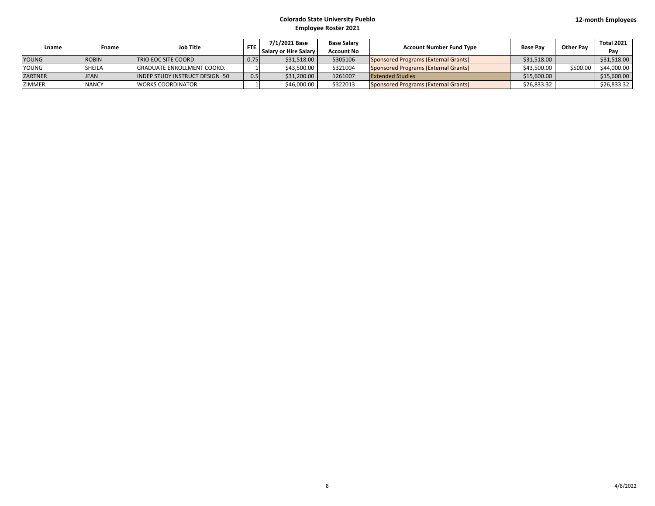| Lname          | Fname         | <b>Job Title</b>                  | <b>FTE</b> | 7/1/2021 Base<br><b>Salary or Hire Salary</b> | <b>Base Salary</b><br>Account No | <b>Account Number Fund Type</b>      | <b>Base Pay</b> | <b>Other Pav</b> | Total 2021<br>Pav |
|----------------|---------------|-----------------------------------|------------|-----------------------------------------------|----------------------------------|--------------------------------------|-----------------|------------------|-------------------|
| <b>YOUNG</b>   | <b>ROBIN</b>  | <b>TRIO EOC SITE COORD</b>        | 0.75       | \$31,518.00                                   | 5305106                          | Sponsored Programs (External Grants) | \$31,518.00     |                  | \$31,518.00       |
| <b>YOUNG</b>   | <b>SHEILA</b> | <b>GRADUATE ENROLLMENT COORD.</b> |            | \$43.500.00                                   | 5321004                          | Sponsored Programs (External Grants) | \$43,500.00     | \$500.00         | \$44,000.00       |
| <b>ZARTNER</b> | <b>JEAN</b>   | INDEP STUDY INSTRUCT DESIGN .50   | 0.5        | \$31,200.00                                   | 1261007                          | <b>Extended Studies</b>              | \$15,600.00     |                  | \$15,600.00       |
| <b>ZIMMER</b>  | <b>NANCY</b>  | <b>WORKS COORDINATOR</b>          |            | \$46,000.00                                   | 5322013                          | Sponsored Programs (External Grants) | \$26,833.32     |                  | \$26,833.32       |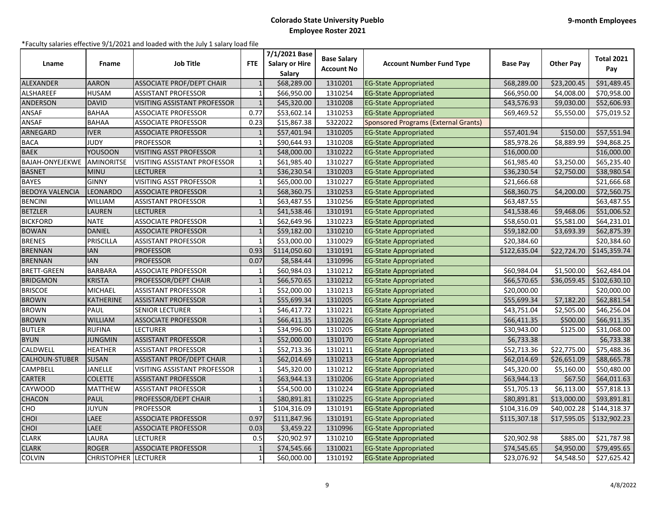| Lname                  | Fname              | <b>Job Title</b>                 | <b>FTE</b>     | 7/1/2021 Base<br><b>Salary or Hire</b><br>Salary | <b>Base Salary</b><br><b>Account No</b> | <b>Account Number Fund Type</b>             | <b>Base Pay</b> | <b>Other Pay</b> | <b>Total 2021</b><br>Pay |
|------------------------|--------------------|----------------------------------|----------------|--------------------------------------------------|-----------------------------------------|---------------------------------------------|-----------------|------------------|--------------------------|
| ALEXANDER              | <b>AARON</b>       | <b>ASSOCIATE PROF/DEPT CHAIR</b> |                | \$68,289.00                                      | 1310201                                 | <b>EG-State Appropriated</b>                | \$68,289.00     | \$23,200.45      | \$91,489.45              |
| <b>ALSHAREEF</b>       | <b>HUSAM</b>       | <b>ASSISTANT PROFESSOR</b>       | $\overline{1}$ | \$66,950.00                                      | 1310254                                 | <b>EG-State Appropriated</b>                | \$66,950.00     | \$4,008.00       | \$70,958.00              |
| <b>ANDERSON</b>        | <b>DAVID</b>       | VISITING ASSISTANT PROFESSOR     | $\overline{1}$ | \$45,320.00                                      | 1310208                                 | <b>EG-State Appropriated</b>                | \$43,576.93     | \$9,030.00       | \$52,606.93              |
| ANSAF                  | <b>BAHAA</b>       | ASSOCIATE PROFESSOR              | 0.77           | \$53,602.14                                      | 1310253                                 | <b>EG-State Appropriated</b>                | \$69,469.52     | \$5,550.00       | \$75,019.52              |
| <b>ANSAF</b>           | <b>BAHAA</b>       | <b>ASSOCIATE PROFESSOR</b>       | 0.23           | \$15,867.38                                      | 5322022                                 | <b>Sponsored Programs (External Grants)</b> |                 |                  |                          |
| ARNEGARD               | <b>IVER</b>        | <b>ASSOCIATE PROFESSOR</b>       |                | \$57,401.94                                      | 1310205                                 | <b>EG-State Appropriated</b>                | \$57,401.94     | \$150.00         | \$57,551.94              |
| <b>BACA</b>            | <b>JUDY</b>        | <b>PROFESSOR</b>                 | $\overline{1}$ | \$90,644.93                                      | 1310208                                 | <b>EG-State Appropriated</b>                | \$85,978.26     | \$8,889.99       | \$94,868.25              |
| <b>BAEK</b>            | <b>YOUSOON</b>     | VISITING ASST PROFESSOR          | $\overline{1}$ | \$48,000.00                                      | 1310222                                 | <b>EG-State Appropriated</b>                | \$16,000.00     |                  | \$16,000.00              |
| BAJAH-ONYEJEKWE        | <b>AMINORITSE</b>  | VISITING ASSISTANT PROFESSOR     | $\mathbf{1}$   | \$61,985.40                                      | 1310227                                 | <b>EG-State Appropriated</b>                | \$61,985.40     | \$3,250.00       | \$65,235.40              |
| <b>BASNET</b>          | <b>MINU</b>        | <b>LECTURER</b>                  |                | \$36,230.54                                      | 1310203                                 | <b>EG-State Appropriated</b>                | \$36,230.54     | \$2,750.00       | \$38,980.54              |
| <b>BAYES</b>           | <b>GINNY</b>       | VISITING ASST PROFESSOR          |                | \$65,000.00                                      | 1310227                                 | <b>EG-State Appropriated</b>                | \$21,666.68     |                  | \$21,666.68              |
| <b>BEDOYA VALENCIA</b> | LEONARDO           | <b>ASSOCIATE PROFESSOR</b>       |                | \$68,360.75                                      | 1310253                                 | <b>EG-State Appropriated</b>                | \$68,360.75     | \$4,200.00       | \$72,560.75              |
| <b>BENCINI</b>         | <b>WILLIAM</b>     | <b>ASSISTANT PROFESSOR</b>       | $\mathbf{1}$   | \$63,487.55                                      | 1310256                                 | <b>EG-State Appropriated</b>                | \$63,487.55     |                  | \$63,487.55              |
| <b>BETZLER</b>         | LAUREN             | <b>LECTURER</b>                  | $\mathbf{1}$   | \$41,538.46                                      | 1310191                                 | <b>EG-State Appropriated</b>                | \$41,538.46     | \$9,468.06       | \$51,006.52              |
| <b>BICKFORD</b>        | <b>NATE</b>        | <b>ASSOCIATE PROFESSOR</b>       |                | \$62,649.96                                      | 1310223                                 | <b>EG-State Appropriated</b>                | \$58,650.01     | \$5,581.00       | \$64,231.01              |
| <b>BOWAN</b>           | <b>DANIEL</b>      | <b>ASSOCIATE PROFESSOR</b>       |                | \$59,182.00                                      | 1310210                                 | <b>EG-State Appropriated</b>                | \$59,182.00     | \$3,693.39       | \$62,875.39              |
| <b>BRENES</b>          | <b>PRISCILLA</b>   | <b>ASSISTANT PROFESSOR</b>       |                | \$53,000.00                                      | 1310029                                 | <b>EG-State Appropriated</b>                | \$20,384.60     |                  | \$20,384.60              |
| <b>BRENNAN</b>         | <b>IAN</b>         | <b>PROFESSOR</b>                 | 0.93           | \$114,050.60                                     | 1310191                                 | <b>EG-State Appropriated</b>                | \$122,635.04    | \$22,724.70      | \$145,359.74             |
| <b>BRENNAN</b>         | <b>IAN</b>         | <b>PROFESSOR</b>                 | 0.07           | \$8,584.44                                       | 1310996                                 | <b>EG-State Appropriated</b>                |                 |                  |                          |
| <b>BRETT-GREEN</b>     | <b>BARBARA</b>     | <b>ASSOCIATE PROFESSOR</b>       |                | \$60,984.03                                      | 1310212                                 | <b>EG-State Appropriated</b>                | \$60,984.04     | \$1,500.00       | \$62,484.04              |
| <b>BRIDGMON</b>        | <b>KRISTA</b>      | PROFESSOR/DEPT CHAIR             |                | \$66,570.65                                      | 1310212                                 | <b>EG-State Appropriated</b>                | \$66,570.65     | \$36,059.45      | \$102,630.10             |
| <b>BRISCOE</b>         | <b>MICHAEL</b>     | <b>ASSISTANT PROFESSOR</b>       | $\mathbf{1}$   | \$52,000.00                                      | 1310213                                 | <b>EG-State Appropriated</b>                | \$20,000.00     |                  | \$20,000.00              |
| <b>BROWN</b>           | KATHERINE          | <b>ASSISTANT PROFESSOR</b>       | $\mathbf{1}$   | \$55,699.34                                      | 1310205                                 | <b>EG-State Appropriated</b>                | \$55,699.34     | \$7,182.20       | \$62,881.54              |
| <b>BROWN</b>           | PAUL               | <b>SENIOR LECTURER</b>           |                | \$46,417.72                                      | 1310221                                 | <b>EG-State Appropriated</b>                | \$43,751.04     | \$2,505.00       | \$46,256.04              |
| <b>BROWN</b>           | <b>WILLIAM</b>     | <b>ASSOCIATE PROFESSOR</b>       |                | \$66,411.35                                      | 1310226                                 | <b>EG-State Appropriated</b>                | \$66,411.35     | \$500.00         | \$66,911.35              |
| <b>BUTLER</b>          | <b>RUFINA</b>      | <b>LECTURER</b>                  |                | \$34,996.00                                      | 1310205                                 | <b>EG-State Appropriated</b>                | \$30,943.00     | \$125.00         | \$31,068.00              |
| <b>BYUN</b>            | JUNGMIN            | <b>ASSISTANT PROFESSOR</b>       |                | \$52,000.00                                      | 1310170                                 | <b>EG-State Appropriated</b>                | \$6,733.38      |                  | \$6,733.38               |
| CALDWELL               | <b>HEATHER</b>     | <b>ASSISTANT PROFESSOR</b>       | $\mathbf{1}$   | \$52,713.36                                      | 1310211                                 | <b>EG-State Appropriated</b>                | \$52,713.36     | \$22,775.00      | \$75,488.36              |
| CALHOUN-STUBER         | <b>SUSAN</b>       | ASSISTANT PROF/DEPT CHAIR        |                | \$62,014.69                                      | 1310213                                 | <b>EG-State Appropriated</b>                | \$62,014.69     | \$26,651.09      | \$88,665.78              |
| <b>CAMPBELL</b>        | JANELLE            | VISITING ASSISTANT PROFESSOR     |                | \$45,320.00                                      | 1310212                                 | <b>EG-State Appropriated</b>                | \$45,320.00     | \$5,160.00       | \$50,480.00              |
| <b>CARTER</b>          | <b>COLETTE</b>     | <b>ASSISTANT PROFESSOR</b>       | $\mathbf{1}$   | \$63,944.13                                      | 1310206                                 | <b>EG-State Appropriated</b>                | \$63,944.13     | \$67.50          | \$64,011.63              |
| <b>CAYWOOD</b>         | <b>MATTHEW</b>     | <b>ASSISTANT PROFESSOR</b>       | $\mathbf{1}$   | \$54,500.00                                      | 1310224                                 | <b>EG-State Appropriated</b>                | \$51,705.13     | \$6,113.00       | \$57,818.13              |
| <b>CHACON</b>          | PAUL               | PROFESSOR/DEPT CHAIR             |                | \$80,891.81                                      | 1310225                                 | <b>EG-State Appropriated</b>                | \$80,891.81     | \$13,000.00      | \$93,891.81              |
| CHO                    | <b>JUYUN</b>       | <b>PROFESSOR</b>                 |                | \$104,316.09                                     | 1310191                                 | <b>EG-State Appropriated</b>                | \$104,316.09    | \$40,002.28      | \$144,318.37             |
| CHOI                   | LAEE               | <b>ASSOCIATE PROFESSOR</b>       | 0.97           | \$111,847.96                                     | 1310191                                 | <b>EG-State Appropriated</b>                | \$115,307.18    | \$17,595.05      | \$132,902.23             |
| CHOI                   | LAEE               | <b>ASSOCIATE PROFESSOR</b>       | 0.03           | \$3,459.22                                       | 1310996                                 | <b>EG-State Appropriated</b>                |                 |                  |                          |
| <b>CLARK</b>           | LAURA              | <b>LECTURER</b>                  | 0.5            | \$20,902.97                                      | 1310210                                 | <b>EG-State Appropriated</b>                | \$20,902.98     | \$885.00         | \$21,787.98              |
| <b>CLARK</b>           | <b>ROGER</b>       | <b>ASSOCIATE PROFESSOR</b>       |                | \$74,545.66                                      | 1310021                                 | <b>EG-State Appropriated</b>                | \$74,545.65     | \$4,950.00       | \$79,495.65              |
| <b>COLVIN</b>          | <b>CHRISTOPHER</b> | <b>ILECTURER</b>                 | $\mathbf{1}$   | \$60,000.00                                      | 1310192                                 | <b>EG-State Appropriated</b>                | \$23,076.92     | \$4,548.50       | \$27,625.42              |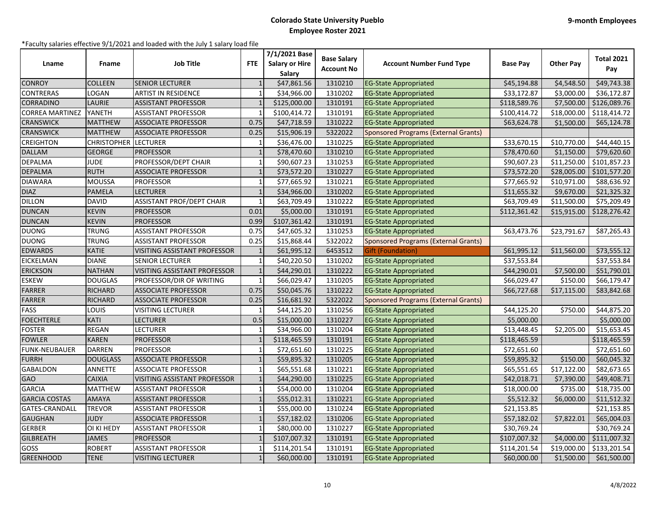| Lname                  | Fname              | <b>Job Title</b>                 | <b>FTE</b>   | 7/1/2021 Base<br><b>Salary or Hire</b><br>Salary | <b>Base Salary</b><br><b>Account No</b> | <b>Account Number Fund Type</b>             | <b>Base Pay</b> | <b>Other Pay</b> | <b>Total 2021</b><br>Pay |
|------------------------|--------------------|----------------------------------|--------------|--------------------------------------------------|-----------------------------------------|---------------------------------------------|-----------------|------------------|--------------------------|
| <b>CONROY</b>          | <b>COLLEEN</b>     | <b>SENIOR LECTURER</b>           |              | \$47,861.56                                      | 1310210                                 | <b>EG-State Appropriated</b>                | \$45,194.88     | \$4,548.50       | \$49,743.38              |
| <b>CONTRERAS</b>       | LOGAN              | ARTIST IN RESIDENCE              | $\mathbf{1}$ | \$34,966.00                                      | 1310202                                 | <b>EG-State Appropriated</b>                | \$33,172.87     | \$3,000.00       | \$36,172.87              |
| <b>CORRADINO</b>       | LAURIE             | <b>ASSISTANT PROFESSOR</b>       |              | \$125,000.00                                     | 1310191                                 | <b>EG-State Appropriated</b>                | \$118,589.76    | \$7,500.00       | \$126,089.76             |
| <b>CORREA MARTINEZ</b> | YANETH             | <b>ASSISTANT PROFESSOR</b>       |              | \$100,414.72                                     | 1310191                                 | <b>EG-State Appropriated</b>                | \$100,414.72    | \$18,000.00      | \$118,414.72             |
| <b>CRANSWICK</b>       | <b>MATTHEW</b>     | <b>ASSOCIATE PROFESSOR</b>       | 0.75         | \$47,718.59                                      | 1310222                                 | <b>EG-State Appropriated</b>                | \$63,624.78     | \$1,500.00       | \$65,124.78              |
| <b>CRANSWICK</b>       | <b>MATTHEW</b>     | <b>ASSOCIATE PROFESSOR</b>       | 0.25         | \$15,906.19                                      | 5322022                                 | <b>Sponsored Programs (External Grants)</b> |                 |                  |                          |
| <b>CREIGHTON</b>       | <b>CHRISTOPHER</b> | <b>LECTURER</b>                  | $\mathbf{1}$ | \$36,476.00                                      | 1310225                                 | <b>EG-State Appropriated</b>                | \$33,670.15     | \$10,770.00      | \$44,440.15              |
| <b>DALLAM</b>          | <b>GEORGE</b>      | <b>PROFESSOR</b>                 | $\mathbf{1}$ | \$78,470.60                                      | 1310210                                 | <b>EG-State Appropriated</b>                | \$78,470.60     | \$1,150.00       | \$79,620.60              |
| <b>DEPALMA</b>         | <b>JUDE</b>        | PROFESSOR/DEPT CHAIR             | $\mathbf{1}$ | \$90,607.23                                      | 1310253                                 | <b>EG-State Appropriated</b>                | \$90,607.23     | \$11,250.00      | \$101,857.23             |
| <b>DEPALMA</b>         | <b>RUTH</b>        | <b>ASSOCIATE PROFESSOR</b>       | $\mathbf{1}$ | \$73,572.20                                      | 1310227                                 | <b>EG-State Appropriated</b>                | \$73,572.20     | \$28,005.00      | \$101,577.20             |
| <b>DIAWARA</b>         | <b>MOUSSA</b>      | <b>PROFESSOR</b>                 |              | \$77,665.92                                      | 1310221                                 | <b>EG-State Appropriated</b>                | \$77,665.92     | \$10,971.00      | \$88,636.92              |
| <b>DIAZ</b>            | <b>PAMELA</b>      | <b>LECTURER</b>                  | $\mathbf{1}$ | \$34,966.00                                      | 1310202                                 | <b>EG-State Appropriated</b>                | \$11,655.32     | \$9,670.00       | \$21,325.32              |
| <b>DILLON</b>          | <b>DAVID</b>       | <b>ASSISTANT PROF/DEPT CHAIR</b> | $\mathbf{1}$ | \$63,709.49                                      | 1310222                                 | <b>EG-State Appropriated</b>                | \$63,709.49     | \$11,500.00      | \$75,209.49              |
| <b>DUNCAN</b>          | <b>KEVIN</b>       | <b>PROFESSOR</b>                 | 0.01         | \$5,000.00                                       | 1310191                                 | <b>EG-State Appropriated</b>                | \$112,361.42    | \$15,915.00      | \$128,276.42             |
| <b>DUNCAN</b>          | <b>KEVIN</b>       | <b>PROFESSOR</b>                 | 0.99         | \$107,361.42                                     | 1310191                                 | <b>EG-State Appropriated</b>                |                 |                  |                          |
| <b>DUONG</b>           | TRUNG              | <b>ASSISTANT PROFESSOR</b>       | 0.75         | \$47,605.32                                      | 1310253                                 | <b>EG-State Appropriated</b>                | \$63,473.76     | \$23,791.67      | \$87,265.43              |
| <b>DUONG</b>           | <b>TRUNG</b>       | <b>ASSISTANT PROFESSOR</b>       | 0.25         | \$15,868.44                                      | 5322022                                 | <b>Sponsored Programs (External Grants)</b> |                 |                  |                          |
| <b>EDWARDS</b>         | KATIE              | VISITING ASSISTANT PROFESSOR     |              | \$61,995.12                                      | 6453512                                 | Gift (Foundation)                           | \$61,995.12     | \$11,560.00      | \$73,555.12              |
| <b>EICKELMAN</b>       | <b>DIANE</b>       | <b>SENIOR LECTURER</b>           | $\mathbf{1}$ | \$40,220.50                                      | 1310202                                 | <b>EG-State Appropriated</b>                | \$37,553.84     |                  | \$37,553.84              |
| <b>ERICKSON</b>        | <b>NATHAN</b>      | VISITING ASSISTANT PROFESSOR     |              | \$44,290.01                                      | 1310222                                 | <b>EG-State Appropriated</b>                | \$44,290.01     | \$7,500.00       | \$51,790.01              |
| <b>ESKEW</b>           | <b>DOUGLAS</b>     | PROFESSOR/DIR OF WRITING         | $\mathbf{1}$ | \$66,029.47                                      | 1310205                                 | <b>EG-State Appropriated</b>                | \$66,029.47     | \$150.00         | \$66,179.47              |
| <b>FARRER</b>          | <b>RICHARD</b>     | <b>ASSOCIATE PROFESSOR</b>       | 0.75         | \$50,045.76                                      | 1310222                                 | <b>EG-State Appropriated</b>                | \$66,727.68     | \$17,115.00      | \$83,842.68              |
| FARRER                 | RICHARD            | <b>ASSOCIATE PROFESSOR</b>       | 0.25         | \$16,681.92                                      | 5322022                                 | Sponsored Programs (External Grants)        |                 |                  |                          |
| <b>FASS</b>            | LOUIS              | VISITING LECTURER                | $\mathbf{1}$ | \$44,125.20                                      | 1310256                                 | <b>EG-State Appropriated</b>                | \$44,125.20     | \$750.00         | \$44,875.20              |
| <b>FOECHTERLE</b>      | <b>KATI</b>        | LECTURER                         | 0.5          | \$15,000.00                                      | 1310227                                 | <b>EG-State Appropriated</b>                | \$5,000.00      |                  | \$5,000.00               |
| <b>FOSTER</b>          | <b>REGAN</b>       | <b>LECTURER</b>                  | $\mathbf{1}$ | \$34,966.00                                      | 1310204                                 | <b>EG-State Appropriated</b>                | \$13,448.45     | \$2,205.00       | \$15,653.45              |
| <b>FOWLER</b>          | <b>KAREN</b>       | <b>PROFESSOR</b>                 |              | \$118,465.59                                     | 1310191                                 | <b>EG-State Appropriated</b>                | \$118,465.59    |                  | \$118,465.59             |
| <b>FUNK-NEUBAUER</b>   | <b>DARREN</b>      | <b>PROFESSOR</b>                 | 1            | \$72,651.60                                      | 1310225                                 | <b>EG-State Appropriated</b>                | \$72,651.60     |                  | \$72,651.60              |
| <b>FURRH</b>           | <b>DOUGLASS</b>    | <b>ASSOCIATE PROFESSOR</b>       |              | \$59,895.32                                      | 1310205                                 | <b>EG-State Appropriated</b>                | \$59,895.32     | \$150.00         | \$60,045.32              |
| <b>GABALDON</b>        | <b>ANNETTE</b>     | <b>ASSOCIATE PROFESSOR</b>       | $\mathbf{1}$ | \$65,551.68                                      | 1310221                                 | <b>EG-State Appropriated</b>                | \$65,551.65     | \$17,122.00      | \$82,673.65              |
| <b>GAO</b>             | <b>CAIXIA</b>      | VISITING ASSISTANT PROFESSOR     | $\mathbf{1}$ | \$44,290.00                                      | 1310225                                 | <b>EG-State Appropriated</b>                | \$42,018.71     | \$7,390.00       | \$49,408.71              |
| <b>GARCIA</b>          | <b>MATTHEW</b>     | <b>ASSISTANT PROFESSOR</b>       | $\mathbf{1}$ | \$54,000.00                                      | 1310204                                 | <b>EG-State Appropriated</b>                | \$18,000.00     | \$735.00         | \$18,735.00              |
| <b>GARCIA COSTAS</b>   | AMAYA              | <b>ASSISTANT PROFESSOR</b>       | $\mathbf{1}$ | \$55,012.31                                      | 1310221                                 | <b>EG-State Appropriated</b>                | \$5,512.32      | \$6,000.00       | \$11,512.32              |
| GATES-CRANDALL         | <b>TREVOR</b>      | <b>ASSISTANT PROFESSOR</b>       |              | \$55,000.00                                      | 1310224                                 | <b>EG-State Appropriated</b>                | \$21,153.85     |                  | \$21,153.85              |
| <b>GAUGHAN</b>         | <b>JUDY</b>        | <b>ASSOCIATE PROFESSOR</b>       | $\mathbf{1}$ | \$57,182.02                                      | 1310206                                 | <b>EG-State Appropriated</b>                | \$57,182.02     | \$7,822.01       | \$65,004.03              |
| <b>GERBER</b>          | OI KI HEDY         | <b>ASSISTANT PROFESSOR</b>       | $\mathbf{1}$ | \$80,000.00                                      | 1310227                                 | <b>EG-State Appropriated</b>                | \$30,769.24     |                  | \$30,769.24              |
| <b>GILBREATH</b>       | <b>JAMES</b>       | <b>PROFESSOR</b>                 |              | \$107,007.32                                     | 1310191                                 | <b>EG-State Appropriated</b>                | \$107,007.32    | \$4,000.00       | \$111,007.32             |
| GOSS                   | <b>ROBERT</b>      | <b>ASSISTANT PROFESSOR</b>       |              | \$114,201.54                                     | 1310191                                 | <b>EG-State Appropriated</b>                | \$114,201.54    | \$19,000.00      | \$133,201.54             |
| <b>GREENHOOD</b>       | <b>TENE</b>        | <b>VISITING LECTURER</b>         |              | \$60,000.00                                      | 1310191                                 | <b>EG-State Appropriated</b>                | \$60,000.00     | \$1,500.00       | \$61,500.00              |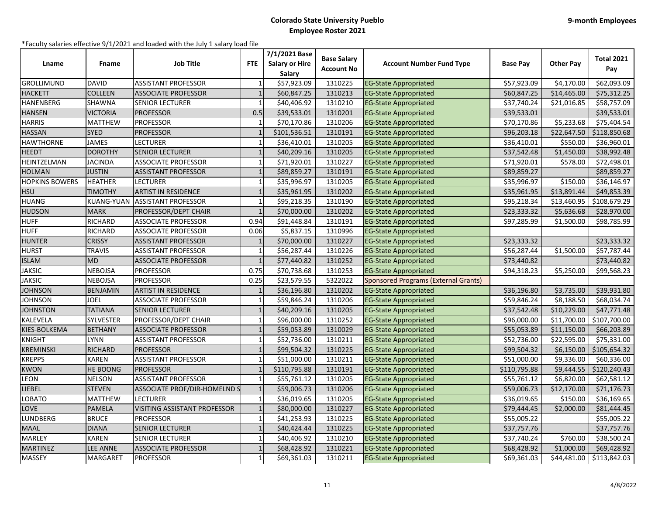| Lname                 | Fname             | <b>Job Title</b>                    | <b>FTE</b>     | 7/1/2021 Base<br><b>Salary or Hire</b><br>Salary | <b>Base Salary</b><br><b>Account No</b> | <b>Account Number Fund Type</b>             | <b>Base Pav</b> | <b>Other Pay</b> | <b>Total 2021</b><br>Pay |
|-----------------------|-------------------|-------------------------------------|----------------|--------------------------------------------------|-----------------------------------------|---------------------------------------------|-----------------|------------------|--------------------------|
| GROLLIMUND            | <b>DAVID</b>      | <b>ASSISTANT PROFESSOR</b>          | $\mathbf{1}$   | \$57,923.09                                      | 1310225                                 | <b>EG-State Appropriated</b>                | \$57,923.09     | \$4,170.00       | \$62,093.09              |
| <b>HACKETT</b>        | <b>COLLEEN</b>    | <b>ASSOCIATE PROFESSOR</b>          | $\overline{1}$ | \$60,847.25                                      | 1310213                                 | <b>EG-State Appropriated</b>                | \$60,847.25     | \$14,465.00      | \$75,312.25              |
| <b>HANENBERG</b>      | SHAWNA            | <b>SENIOR LECTURER</b>              |                | \$40,406.92                                      | 1310210                                 | <b>EG-State Appropriated</b>                | \$37,740.24     | \$21,016.85      | \$58,757.09              |
| <b>HANSEN</b>         | VICTORIA          | <b>PROFESSOR</b>                    | 0.5            | \$39,533.01                                      | 1310201                                 | <b>EG-State Appropriated</b>                | \$39,533.01     |                  | \$39,533.01              |
| <b>HARRIS</b>         | MATTHEW           | <b>PROFESSOR</b>                    | 1              | \$70,170.86                                      | 1310206                                 | <b>EG-State Appropriated</b>                | \$70,170.86     | \$5,233.68       | \$75,404.54              |
| <b>HASSAN</b>         | <b>SYED</b>       | <b>PROFESSOR</b>                    |                | \$101,536.51                                     | 1310191                                 | <b>EG-State Appropriated</b>                | \$96,203.18     | \$22,647.50      | \$118,850.68             |
| <b>HAWTHORNE</b>      | <b>JAMES</b>      | <b>LECTURER</b>                     |                | \$36,410.01                                      | 1310205                                 | <b>EG-State Appropriated</b>                | \$36,410.01     | \$550.00         | \$36,960.01              |
| <b>HEEDT</b>          | <b>DOROTHY</b>    | <b>SENIOR LECTURER</b>              |                | \$40,209.16                                      | 1310205                                 | <b>EG-State Appropriated</b>                | \$37,542.48     | \$1,450.00       | \$38,992.48              |
| HEINTZELMAN           | JACINDA           | <b>ASSOCIATE PROFESSOR</b>          | $\mathbf{1}$   | \$71,920.01                                      | 1310227                                 | <b>EG-State Appropriated</b>                | \$71,920.01     | \$578.00         | \$72,498.01              |
| <b>HOLMAN</b>         | <b>JUSTIN</b>     | <b>ASSISTANT PROFESSOR</b>          | $\overline{1}$ | \$89,859.27                                      | 1310191                                 | <b>EG-State Appropriated</b>                | \$89,859.27     |                  | \$89,859.27              |
| <b>HOPKINS BOWERS</b> | <b>HEATHER</b>    | <b>LECTURER</b>                     |                | \$35,996.97                                      | 1310205                                 | <b>EG-State Appropriated</b>                | \$35,996.97     | \$150.00         | \$36,146.97              |
| <b>HSU</b>            | <b>TIMOTHY</b>    | <b>ARTIST IN RESIDENCE</b>          | $\overline{1}$ | \$35,961.95                                      | 1310202                                 | <b>EG-State Appropriated</b>                | \$35,961.95     | \$13,891.44      | \$49,853.39              |
| <b>HUANG</b>          | <b>KUANG-YUAN</b> | <b>ASSISTANT PROFESSOR</b>          | $\mathbf{1}$   | \$95,218.35                                      | 1310190                                 | <b>EG-State Appropriated</b>                | \$95,218.34     | \$13,460.95      | \$108,679.29             |
| <b>HUDSON</b>         | <b>MARK</b>       | <b>PROFESSOR/DEPT CHAIR</b>         | $\overline{1}$ | \$70,000.00                                      | 1310202                                 | <b>EG-State Appropriated</b>                | \$23,333.32     | \$5,636.68       | \$28,970.00              |
| <b>HUFF</b>           | <b>RICHARD</b>    | <b>ASSOCIATE PROFESSOR</b>          | 0.94           | \$91,448.84                                      | 1310191                                 | <b>EG-State Appropriated</b>                | \$97,285.99     | \$1,500.00       | \$98,785.99              |
| <b>HUFF</b>           | RICHARD           | <b>ASSOCIATE PROFESSOR</b>          | 0.06           | \$5,837.15                                       | 1310996                                 | <b>EG-State Appropriated</b>                |                 |                  |                          |
| <b>HUNTER</b>         | <b>CRISSY</b>     | <b>ASSISTANT PROFESSOR</b>          | $\overline{1}$ | \$70,000.00                                      | 1310227                                 | <b>EG-State Appropriated</b>                | \$23,333.32     |                  | \$23,333.32              |
| <b>HURST</b>          | <b>TRAVIS</b>     | <b>ASSISTANT PROFESSOR</b>          | $\mathbf{1}$   | \$56,287.44                                      | 1310226                                 | <b>EG-State Appropriated</b>                | \$56,287.44     | \$1,500.00       | \$57,787.44              |
| <b>ISLAM</b>          | MD                | <b>ASSOCIATE PROFESSOR</b>          | $\mathbf{1}$   | \$77,440.82                                      | 1310252                                 | <b>EG-State Appropriated</b>                | \$73,440.82     |                  | \$73,440.82              |
| <b>JAKSIC</b>         | <b>NEBOJSA</b>    | <b>PROFESSOR</b>                    | 0.75           | \$70,738.68                                      | 1310253                                 | <b>EG-State Appropriated</b>                | \$94,318.23     | \$5,250.00       | \$99,568.23              |
| <b>JAKSIC</b>         | NEBOJSA           | <b>PROFESSOR</b>                    | 0.25           | \$23,579.55                                      | 5322022                                 | <b>Sponsored Programs (External Grants)</b> |                 |                  |                          |
| <b>JOHNSON</b>        | <b>BENJAMIN</b>   | <b>ARTIST IN RESIDENCE</b>          | $\mathbf{1}$   | \$36,196.80                                      | 1310202                                 | <b>EG-State Appropriated</b>                | \$36,196.80     | \$3,735.00       | \$39,931.80              |
| <b>JOHNSON</b>        | <b>JOEL</b>       | <b>ASSOCIATE PROFESSOR</b>          | $\mathbf{1}$   | \$59,846.24                                      | 1310206                                 | <b>EG-State Appropriated</b>                | \$59,846.24     | \$8,188.50       | \$68,034.74              |
| <b>JOHNSTON</b>       | <b>TATIANA</b>    | <b>SENIOR LECTURER</b>              | $\overline{1}$ | \$40,209.16                                      | 1310205                                 | <b>EG-State Appropriated</b>                | \$37,542.48     | \$10,229.00      | \$47,771.48              |
| <b>KALEVELA</b>       | <b>SYLVESTER</b>  | PROFESSOR/DEPT CHAIR                |                | \$96,000.00                                      | 1310252                                 | <b>EG-State Appropriated</b>                | \$96,000.00     | \$11,700.00      | \$107,700.00             |
| KIES-BOLKEMA          | <b>BETHANY</b>    | <b>ASSOCIATE PROFESSOR</b>          |                | \$59,053.89                                      | 1310029                                 | <b>EG-State Appropriated</b>                | \$55,053.89     | \$11,150.00      | \$66,203.89              |
| <b>KNIGHT</b>         | LYNN              | <b>ASSISTANT PROFESSOR</b>          | $\mathbf{1}$   | \$52,736.00                                      | 1310211                                 | <b>EG-State Appropriated</b>                | \$52,736.00     | \$22,595.00      | \$75,331.00              |
| <b>KREMINSKI</b>      | RICHARD           | <b>PROFESSOR</b>                    | $\mathbf{1}$   | \$99,504.32                                      | 1310225                                 | <b>EG-State Appropriated</b>                | \$99,504.32     | \$6,150.00       | \$105,654.32             |
| <b>KREPPS</b>         | KAREN             | <b>ASSISTANT PROFESSOR</b>          |                | \$51,000.00                                      | 1310211                                 | <b>EG-State Appropriated</b>                | \$51,000.00     | \$9,336.00       | \$60,336.00              |
| <b>KWON</b>           | HE BOONG          | <b>PROFESSOR</b>                    |                | \$110,795.88                                     | 1310191                                 | <b>EG-State Appropriated</b>                | \$110,795.88    | \$9,444.55       | \$120,240.43             |
| LEON                  | <b>NELSON</b>     | <b>ASSISTANT PROFESSOR</b>          | $\overline{1}$ | \$55,761.12                                      | 1310205                                 | <b>EG-State Appropriated</b>                | \$55,761.12     | \$6,820.00       | \$62,581.12              |
| LIEBEL                | <b>STEVEN</b>     | <b>ASSOCIATE PROF/DIR-HOMELND S</b> | $\mathbf{1}$   | \$59,006.73                                      | 1310206                                 | <b>EG-State Appropriated</b>                | \$59,006.73     | \$12,170.00      | \$71,176.73              |
| OBATO.                | MATTHEW           | LECTURER                            | $\mathbf{1}$   | \$36,019.65                                      | 1310205                                 | <b>EG-State Appropriated</b>                | \$36,019.65     | \$150.00         | \$36,169.65              |
| LOVE                  | <b>PAMELA</b>     | <b>VISITING ASSISTANT PROFESSOR</b> |                | \$80,000.00                                      | 1310227                                 | <b>EG-State Appropriated</b>                | \$79,444.45     | \$2,000.00       | \$81,444.45              |
| LUNDBERG              | <b>BRUCE</b>      | <b>PROFESSOR</b>                    | $\mathbf{1}$   | \$41,253.93                                      | 1310225                                 | <b>EG-State Appropriated</b>                | \$55,005.22     |                  | \$55,005.22              |
| <b>MAAL</b>           | <b>DIANA</b>      | <b>SENIOR LECTURER</b>              | $\mathbf{1}$   | \$40,424.44                                      | 1310225                                 | <b>EG-State Appropriated</b>                | \$37,757.76     |                  | \$37,757.76              |
| MARLEY                | KAREN             | <b>SENIOR LECTURER</b>              | $\mathbf{1}$   | \$40,406.92                                      | 1310210                                 | <b>EG-State Appropriated</b>                | \$37,740.24     | \$760.00         | \$38,500.24              |
| <b>MARTINEZ</b>       | <b>LEE ANNE</b>   | <b>ASSOCIATE PROFESSOR</b>          |                | \$68,428.92                                      | 1310221                                 | <b>EG-State Appropriated</b>                | \$68,428.92     | \$1,000.00       | \$69,428.92              |
| MASSEY                | <b>MARGARET</b>   | <b>PROFESSOR</b>                    | $\mathbf{1}$   | \$69,361.03                                      | 1310211                                 | <b>EG-State Appropriated</b>                | \$69,361.03     | \$44,481.00      | \$113,842.03             |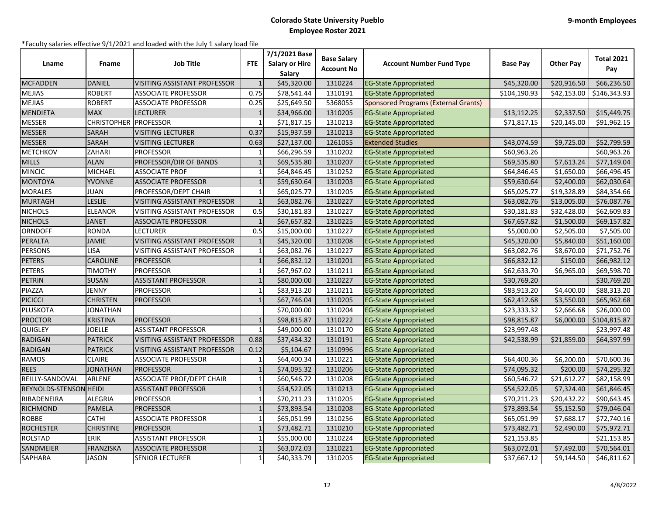| Lname                  | <b>Fname</b>     | <b>Job Title</b>                    | <b>FTE</b>     | 7/1/2021 Base<br><b>Salary or Hire</b><br>Salary | <b>Base Salary</b><br><b>Account No</b> | <b>Account Number Fund Type</b>             | <b>Base Pay</b> | <b>Other Pay</b> | <b>Total 2021</b><br>Pay |
|------------------------|------------------|-------------------------------------|----------------|--------------------------------------------------|-----------------------------------------|---------------------------------------------|-----------------|------------------|--------------------------|
| <b>MCFADDEN</b>        | <b>DANIEL</b>    | <b>VISITING ASSISTANT PROFESSOR</b> |                | \$45,320.00                                      | 1310224                                 | <b>EG-State Appropriated</b>                | \$45,320.00     | \$20,916.50      | \$66,236.50              |
| <b>MEJIAS</b>          | <b>ROBERT</b>    | <b>ASSOCIATE PROFESSOR</b>          | 0.75           | \$78,541.44                                      | 1310191                                 | <b>EG-State Appropriated</b>                | \$104,190.93    | \$42,153.00      | \$146,343.93             |
| <b>MEJIAS</b>          | <b>ROBERT</b>    | <b>ASSOCIATE PROFESSOR</b>          | 0.25           | \$25,649.50                                      | 5368055                                 | <b>Sponsored Programs (External Grants)</b> |                 |                  |                          |
| <b>MENDIETA</b>        | <b>MAX</b>       | <b>LECTURER</b>                     | $\mathbf{1}$   | \$34,966.00                                      | 1310205                                 | <b>EG-State Appropriated</b>                | \$13,112.25     | \$2,337.50       | \$15,449.75              |
| <b>MESSER</b>          | CHRISTOPHER      | <b>PROFESSOR</b>                    |                | \$71,817.15                                      | 1310213                                 | <b>EG-State Appropriated</b>                | \$71,817.15     | \$20,145.00      | \$91,962.15              |
| <b>MESSER</b>          | <b>SARAH</b>     | <b>VISITING LECTURER</b>            | 0.37           | \$15,937.59                                      | 1310213                                 | <b>EG-State Appropriated</b>                |                 |                  |                          |
| <b>MESSER</b>          | <b>SARAH</b>     | <b>VISITING LECTURER</b>            | 0.63           | \$27,137.00                                      | 1261055                                 | <b>Extended Studies</b>                     | \$43,074.59     | \$9,725.00       | \$52,799.59              |
| <b>METCHKOV</b>        | ZAHARI           | <b>PROFESSOR</b>                    | $\mathbf{1}$   | \$66,296.59                                      | 1310202                                 | <b>EG-State Appropriated</b>                | \$60,963.26     |                  | \$60,963.26              |
| <b>MILLS</b>           | <b>ALAN</b>      | <b>PROFESSOR/DIR OF BANDS</b>       | $\mathbf{1}$   | \$69,535.80                                      | 1310207                                 | <b>EG-State Appropriated</b>                | \$69,535.80     | \$7,613.24       | \$77,149.04              |
| <b>MINCIC</b>          | MICHAEL          | <b>ASSOCIATE PROF</b>               |                | \$64,846.45                                      | 1310252                                 | <b>EG-State Appropriated</b>                | \$64,846.45     | \$1,650.00       | \$66,496.45              |
| <b>MONTOYA</b>         | YVONNE           | <b>ASSOCIATE PROFESSOR</b>          |                | \$59,630.64                                      | 1310203                                 | <b>EG-State Appropriated</b>                | \$59,630.64     | \$2,400.00       | \$62,030.64              |
| <b>MORALES</b>         | <b>JUAN</b>      | PROFESSOR/DEPT CHAIR                | $\mathbf{1}$   | \$65,025.77                                      | 1310205                                 | <b>EG-State Appropriated</b>                | \$65,025.77     | \$19,328.89      | \$84,354.66              |
| <b>MURTAGH</b>         | <b>LESLIE</b>    | VISITING ASSISTANT PROFESSOR        | $\mathbf{1}$   | \$63,082.76                                      | 1310227                                 | <b>EG-State Appropriated</b>                | \$63,082.76     | \$13,005.00      | \$76,087.76              |
| <b>NICHOLS</b>         | <b>ELEANOR</b>   | VISITING ASSISTANT PROFESSOR        | 0.5            | \$30,181.83                                      | 1310227                                 | <b>EG-State Appropriated</b>                | \$30,181.83     | \$32,428.00      | \$62,609.83              |
| <b>NICHOLS</b>         | <b>JANET</b>     | <b>ASSOCIATE PROFESSOR</b>          |                | \$67,657.82                                      | 1310225                                 | <b>EG-State Appropriated</b>                | \$67,657.82     | \$1,500.00       | \$69,157.82              |
| <b>ORNDOFF</b>         | <b>RONDA</b>     | <b>LECTURER</b>                     | 0.5            | \$15,000.00                                      | 1310227                                 | <b>EG-State Appropriated</b>                | \$5,000.00      | \$2,505.00       | \$7,505.00               |
| PERALTA                | <b>JAMIE</b>     | VISITING ASSISTANT PROFESSOR        | $\mathbf{1}$   | \$45,320.00                                      | 1310208                                 | <b>EG-State Appropriated</b>                | \$45,320.00     | \$5,840.00       | \$51,160.00              |
| <b>PERSONS</b>         | LISA             | VISITING ASSISTANT PROFESSOR        | $\mathbf{1}$   | \$63,082.76                                      | 1310227                                 | <b>EG-State Appropriated</b>                | \$63,082.76     | \$8,670.00       | \$71,752.76              |
| <b>PETERS</b>          | CAROLINE         | <b>PROFESSOR</b>                    | $\mathbf{1}$   | \$66,832.12                                      | 1310201                                 | <b>EG-State Appropriated</b>                | \$66,832.12     | \$150.00         | \$66,982.12              |
| PETERS                 | TIMOTHY          | <b>PROFESSOR</b>                    |                | \$67,967.02                                      | 1310211                                 | <b>EG-State Appropriated</b>                | \$62,633.70     | \$6,965.00       | \$69,598.70              |
| <b>PETRIN</b>          | <b>SUSAN</b>     | <b>ASSISTANT PROFESSOR</b>          | $\mathbf{1}$   | \$80,000.00                                      | 1310227                                 | <b>EG-State Appropriated</b>                | \$30,769.20     |                  | \$30,769.20              |
| PIAZZA                 | JENNY            | <b>PROFESSOR</b>                    |                | \$83,913.20                                      | 1310211                                 | <b>EG-State Appropriated</b>                | \$83,913.20     | \$4,400.00       | \$88,313.20              |
| <b>PICICCI</b>         | CHRISTEN         | <b>PROFESSOR</b>                    | $\mathbf{1}$   | \$67,746.04                                      | 1310205                                 | <b>EG-State Appropriated</b>                | \$62,412.68     | \$3,550.00       | \$65,962.68              |
| <b>PLUSKOTA</b>        | JONATHAN         |                                     |                | \$70,000.00                                      | 1310204                                 | <b>EG-State Appropriated</b>                | \$23,333.32     | \$2,666.68       | \$26,000.00              |
| <b>PROCTOR</b>         | KRISTINA         | <b>PROFESSOR</b>                    |                | \$98,815.87                                      | 1310222                                 | <b>EG-State Appropriated</b>                | \$98,815.87     | \$6,000.00       | \$104,815.87             |
| QUIGLEY                | <b>JOELLE</b>    | <b>ASSISTANT PROFESSOR</b>          | $\overline{1}$ | \$49,000.00                                      | 1310170                                 | <b>EG-State Appropriated</b>                | \$23,997.48     |                  | \$23,997.48              |
| <b>RADIGAN</b>         | <b>PATRICK</b>   | <b>VISITING ASSISTANT PROFESSOR</b> | 0.88           | \$37,434.32                                      | 1310191                                 | <b>EG-State Appropriated</b>                | \$42,538.99     | \$21,859.00      | \$64,397.99              |
| <b>RADIGAN</b>         | <b>PATRICK</b>   | VISITING ASSISTANT PROFESSOR        | 0.12           | \$5,104.67                                       | 1310996                                 | <b>EG-State Appropriated</b>                |                 |                  |                          |
| <b>RAMOS</b>           | <b>CLAIRE</b>    | <b>ASSOCIATE PROFESSOR</b>          | $\mathbf{1}$   | \$64,400.34                                      | 1310221                                 | <b>EG-State Appropriated</b>                | \$64,400.36     | \$6,200.00       | \$70,600.36              |
| <b>REES</b>            | <b>JONATHAN</b>  | <b>PROFESSOR</b>                    | $\mathbf{1}$   | \$74,095.32                                      | 1310206                                 | <b>EG-State Appropriated</b>                | \$74,095.32     | \$200.00         | \$74,295.32              |
| REILLY-SANDOVAL        | ARLENE           | <b>ASSOCIATE PROF/DEPT CHAIR</b>    |                | \$60,546.72                                      | 1310208                                 | <b>EG-State Appropriated</b>                | \$60,546.72     | \$21,612.27      | \$82,158.99              |
| REYNOLDS-STENSON HEIDI |                  | <b>ASSISTANT PROFESSOR</b>          |                | \$54,522.05                                      | 1310213                                 | <b>EG-State Appropriated</b>                | \$54,522.05     | \$7,324.40       | \$61,846.45              |
| RIBADENEIRA            | ALEGRIA          | <b>PROFESSOR</b>                    | $\mathbf{1}$   | \$70,211.23                                      | 1310205                                 | <b>EG-State Appropriated</b>                | \$70,211.23     | \$20,432.22      | \$90,643.45              |
| <b>RICHMOND</b>        | <b>PAMELA</b>    | <b>PROFESSOR</b>                    |                | \$73,893.54                                      | 1310208                                 | <b>EG-State Appropriated</b>                | \$73,893.54     | \$5,152.50       | \$79,046.04              |
| <b>ROBBE</b>           | <b>CATHI</b>     | <b>ASSOCIATE PROFESSOR</b>          | $\overline{1}$ | \$65,051.99                                      | 1310256                                 | <b>EG-State Appropriated</b>                | \$65,051.99     | \$7,688.17       | \$72,740.16              |
| <b>ROCHESTER</b>       | CHRISTINE        | <b>PROFESSOR</b>                    | $\mathbf{1}$   | \$73,482.71                                      | 1310210                                 | <b>EG-State Appropriated</b>                | \$73,482.71     | \$2,490.00       | \$75,972.71              |
| <b>ROLSTAD</b>         | <b>ERIK</b>      | <b>ASSISTANT PROFESSOR</b>          | $\mathbf{1}$   | \$55,000.00                                      | 1310224                                 | <b>EG-State Appropriated</b>                | \$21,153.85     |                  | \$21,153.85              |
| SANDMEIER              | <b>FRANZISKA</b> | <b>ASSOCIATE PROFESSOR</b>          |                | \$63,072.03                                      | 1310221                                 | <b>EG-State Appropriated</b>                | \$63,072.01     | \$7,492.00       | \$70,564.01              |
| SAPHARA                | <b>JASON</b>     | <b>SENIOR LECTURER</b>              | 1              | \$40,333.79                                      | 1310205                                 | <b>EG-State Appropriated</b>                | \$37,667.12     | \$9,144.50       | \$46,811.62              |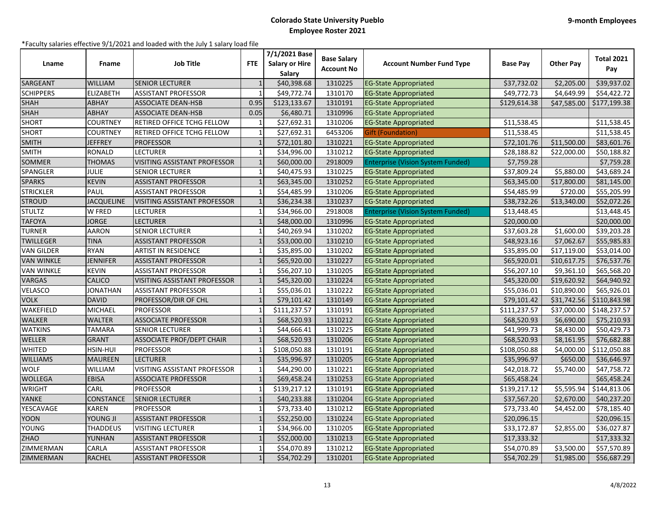| Lname             | Fname             | <b>Job Title</b>                    | <b>FTE</b>     | 7/1/2021 Base<br><b>Salary or Hire</b><br>Salary | <b>Base Salary</b><br><b>Account No</b> | <b>Account Number Fund Type</b>          | <b>Base Pay</b> | <b>Other Pay</b> | <b>Total 2021</b><br>Pay |
|-------------------|-------------------|-------------------------------------|----------------|--------------------------------------------------|-----------------------------------------|------------------------------------------|-----------------|------------------|--------------------------|
| SARGEANT          | WILLIAM           | <b>SENIOR LECTURER</b>              |                | \$40,398.68                                      | 1310225                                 | <b>EG-State Appropriated</b>             | \$37,732.02     | \$2,205.00       | \$39,937.02              |
| <b>SCHIPPERS</b>  | <b>ELIZABETH</b>  | <b>ASSISTANT PROFESSOR</b>          |                | \$49,772.74                                      | 1310170                                 | <b>EG-State Appropriated</b>             | \$49,772.73     | \$4,649.99       | \$54,422.72              |
| <b>SHAH</b>       | ABHAY             | <b>ASSOCIATE DEAN-HSB</b>           | 0.95           | \$123,133.67                                     | 1310191                                 | <b>EG-State Appropriated</b>             | \$129,614.38    | \$47,585.00      | \$177,199.38             |
| <b>SHAH</b>       | ABHAY             | <b>ASSOCIATE DEAN-HSB</b>           | 0.05           | \$6,480.71                                       | 1310996                                 | <b>EG-State Appropriated</b>             |                 |                  |                          |
| <b>SHORT</b>      | COURTNEY          | RETIRED OFFICE TCHG FELLOW          | 1              | \$27,692.31                                      | 1310206                                 | <b>EG-State Appropriated</b>             | \$11,538.45     |                  | \$11,538.45              |
| <b>SHORT</b>      | <b>COURTNEY</b>   | RETIRED OFFICE TCHG FELLOW          | $\mathbf{1}$   | \$27,692.31                                      | 6453206                                 | <b>Gift (Foundation)</b>                 | \$11,538.45     |                  | \$11,538.45              |
| <b>SMITH</b>      | <b>JEFFREY</b>    | <b>PROFESSOR</b>                    | $\mathbf{1}$   | \$72,101.80                                      | 1310221                                 | <b>EG-State Appropriated</b>             | \$72,101.76     | \$11,500.00      | \$83,601.76              |
| <b>SMITH</b>      | <b>RONALD</b>     | <b>LECTURER</b>                     | $\mathbf{1}$   | \$34,996.00                                      | 1310212                                 | <b>EG-State Appropriated</b>             | \$28,188.82     | \$22,000.00      | \$50,188.82              |
| <b>SOMMER</b>     | <b>THOMAS</b>     | <b>VISITING ASSISTANT PROFESSOR</b> | $\mathbf{1}$   | \$60,000.00                                      | 2918009                                 | <b>Enterprise (Vision System Funded)</b> | \$7,759.28      |                  | \$7,759.28               |
| SPANGLER          | JULIE             | <b>SENIOR LECTURER</b>              |                | \$40,475.93                                      | 1310225                                 | <b>EG-State Appropriated</b>             | \$37,809.24     | \$5,880.00       | \$43,689.24              |
| <b>SPARKS</b>     | <b>KEVIN</b>      | <b>ASSISTANT PROFESSOR</b>          |                | \$63,345.00                                      | 1310252                                 | <b>EG-State Appropriated</b>             | \$63,345.00     | \$17,800.00      | \$81,145.00              |
| <b>STRICKLER</b>  | PAUL              | <b>ASSISTANT PROFESSOR</b>          | $\mathbf{1}$   | \$54,485.99                                      | 1310206                                 | <b>EG-State Appropriated</b>             | \$54,485.99     | \$720.00         | \$55,205.99              |
| <b>STROUD</b>     | <b>JACQUELINE</b> | <b>VISITING ASSISTANT PROFESSOR</b> | $\mathbf{1}$   | \$36,234.38                                      | 1310237                                 | <b>EG-State Appropriated</b>             | \$38,732.26     | \$13,340.00      | \$52,072.26              |
| <b>STULTZ</b>     | W FRED            | <b>LECTURER</b>                     | $\mathbf{1}$   | \$34,966.00                                      | 2918008                                 | <b>Enterprise (Vision System Funded)</b> | \$13,448.45     |                  | \$13,448.45              |
| <b>TAFOYA</b>     | <b>JORGE</b>      | <b>LECTURER</b>                     |                | \$48,000.00                                      | 1310996                                 | <b>EG-State Appropriated</b>             | \$20,000.00     |                  | \$20,000.00              |
| <b>TURNER</b>     | <b>AARON</b>      | <b>SENIOR LECTURER</b>              | $\overline{1}$ | \$40,269.94                                      | 1310202                                 | <b>EG-State Appropriated</b>             | \$37,603.28     | \$1,600.00       | \$39,203.28              |
| <b>TWILLEGER</b>  | <b>TINA</b>       | <b>ASSISTANT PROFESSOR</b>          | $\mathbf{1}$   | \$53,000.00                                      | 1310210                                 | <b>EG-State Appropriated</b>             | \$48,923.16     | \$7,062.67       | \$55,985.83              |
| <b>VAN GILDER</b> | <b>RYAN</b>       | <b>ARTIST IN RESIDENCE</b>          | $\mathbf{1}$   | \$35,895.00                                      | 1310202                                 | <b>EG-State Appropriated</b>             | \$35,895.00     | \$17,119.00      | \$53,014.00              |
| <b>VAN WINKLE</b> | JENNIFER          | <b>ASSISTANT PROFESSOR</b>          | $\mathbf{1}$   | \$65,920.00                                      | 1310227                                 | <b>EG-State Appropriated</b>             | \$65,920.01     | \$10,617.75      | \$76,537.76              |
| <b>VAN WINKLE</b> | KEVIN             | <b>ASSISTANT PROFESSOR</b>          |                | \$56,207.10                                      | 1310205                                 | <b>EG-State Appropriated</b>             | \$56,207.10     | \$9,361.10       | \$65,568.20              |
| <b>VARGAS</b>     | CALICO            | <b>VISITING ASSISTANT PROFESSOR</b> | $\mathbf{1}$   | \$45,320.00                                      | 1310224                                 | <b>EG-State Appropriated</b>             | \$45,320.00     | \$19,620.92      | \$64,940.92              |
| <b>VELASCO</b>    | <b>JONATHAN</b>   | <b>ASSISTANT PROFESSOR</b>          | $\mathbf{1}$   | \$55,036.01                                      | 1310222                                 | <b>EG-State Appropriated</b>             | \$55,036.01     | \$10,890.00      | \$65,926.01              |
| <b>VOLK</b>       | <b>DAVID</b>      | <b>PROFESSOR/DIR OF CHL</b>         | $\mathbf{1}$   | \$79,101.42                                      | 1310149                                 | <b>EG-State Appropriated</b>             | \$79,101.42     | \$31,742.56      | \$110,843.98             |
| WAKEFIELD         | MICHAEL           | <b>PROFESSOR</b>                    |                | \$111,237.57                                     | 1310191                                 | <b>EG-State Appropriated</b>             | \$111,237.57    | \$37,000.00      | \$148,237.57             |
| <b>WALKER</b>     | <b>WALTER</b>     | <b>ASSOCIATE PROFESSOR</b>          |                | \$68,520.93                                      | 1310212                                 | <b>EG-State Appropriated</b>             | \$68,520.93     | \$6,690.00       | \$75,210.93              |
| <b>WATKINS</b>    | <b>TAMARA</b>     | <b>SENIOR LECTURER</b>              |                | \$44,666.41                                      | 1310225                                 | <b>EG-State Appropriated</b>             | \$41,999.73     | \$8,430.00       | \$50,429.73              |
| <b>WELLER</b>     | GRANT             | <b>ASSOCIATE PROF/DEPT CHAIR</b>    |                | \$68,520.93                                      | 1310206                                 | <b>EG-State Appropriated</b>             | \$68,520.93     | \$8,161.95       | \$76,682.88              |
| <b>WHITED</b>     | HSIN-HUI          | <b>PROFESSOR</b>                    | $\mathbf{1}$   | \$108,050.88                                     | 1310191                                 | <b>EG-State Appropriated</b>             | \$108,050.88    | \$4,000.00       | \$112,050.88             |
| <b>WILLIAMS</b>   | <b>MAUREEN</b>    | <b>LECTURER</b>                     |                | \$35,996.97                                      | 1310205                                 | <b>EG-State Appropriated</b>             | \$35,996.97     | \$650.00         | \$36,646.97              |
| <b>WOLF</b>       | <b>WILLIAM</b>    | VISITING ASSISTANT PROFESSOR        |                | \$44,290.00                                      | 1310221                                 | <b>EG-State Appropriated</b>             | \$42,018.72     | \$5,740.00       | \$47,758.72              |
| <b>WOLLEGA</b>    | <b>EBISA</b>      | <b>ASSOCIATE PROFESSOR</b>          | $\mathbf{1}$   | \$69,458.24                                      | 1310253                                 | <b>EG-State Appropriated</b>             | \$65,458.24     |                  | \$65,458.24              |
| <b>WRIGHT</b>     | CARL              | <b>PROFESSOR</b>                    |                | \$139,217.12                                     | 1310191                                 | <b>EG-State Appropriated</b>             | \$139,217.12    | \$5,595.94       | \$144,813.06             |
| YANKE             | CONSTANCE         | <b>SENIOR LECTURER</b>              |                | \$40,233.88                                      | 1310204                                 | <b>EG-State Appropriated</b>             | \$37,567.20     | \$2,670.00       | \$40,237.20              |
| YESCAVAGE         | KAREN             | <b>PROFESSOR</b>                    |                | \$73,733.40                                      | 1310212                                 | <b>EG-State Appropriated</b>             | \$73,733.40     | \$4,452.00       | \$78,185.40              |
| <b>YOON</b>       | <b>YOUNG JI</b>   | <b>ASSISTANT PROFESSOR</b>          | $\mathbf{1}$   | \$52,250.00                                      | 1310224                                 | <b>EG-State Appropriated</b>             | \$20,096.15     |                  | \$20,096.15              |
| <b>YOUNG</b>      | <b>THADDEUS</b>   | <b>VISITING LECTURER</b>            | $\mathbf{1}$   | \$34,966.00                                      | 1310205                                 | <b>EG-State Appropriated</b>             | \$33,172.87     | \$2,855.00       | \$36,027.87              |
| <b>ZHAO</b>       | YUNHAN            | <b>ASSISTANT PROFESSOR</b>          | $\mathbf{1}$   | \$52,000.00                                      | 1310213                                 | <b>EG-State Appropriated</b>             | \$17,333.32     |                  | \$17,333.32              |
| ZIMMERMAN         | CARLA             | <b>ASSISTANT PROFESSOR</b>          | $\mathbf{1}$   | \$54,070.89                                      | 1310212                                 | <b>EG-State Appropriated</b>             | \$54,070.89     | \$3,500.00       | \$57,570.89              |
| ZIMMERMAN         | <b>RACHEL</b>     | <b>ASSISTANT PROFESSOR</b>          | $\mathbf{1}$   | \$54,702.29                                      | 1310201                                 | <b>EG-State Appropriated</b>             | \$54,702.29     | \$1,985.00       | \$56,687.29              |